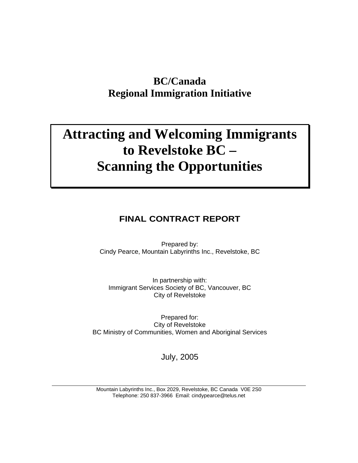## **BC/Canada Regional Immigration Initiative**

# **Attracting and Welcoming Immigrants to Revelstoke BC – Scanning the Opportunities**

## **FINAL CONTRACT REPORT**

Prepared by:  $\blacksquare$ Cindy Pearce, Mountain Labyrinths Inc., Revelstoke, BC

In partnership with: Immigrant Services Society of BC, Vancouver, BC City of Revelstoke

Prepared for: City of Revelstoke BC Ministry of Communities, Women and Aboriginal Services

July, 2005

Mountain Labyrinths Inc., Box 2029, Revelstoke, BC Canada V0E 2S0 Telephone: 250 837-3966 Email: cindypearce@telus.net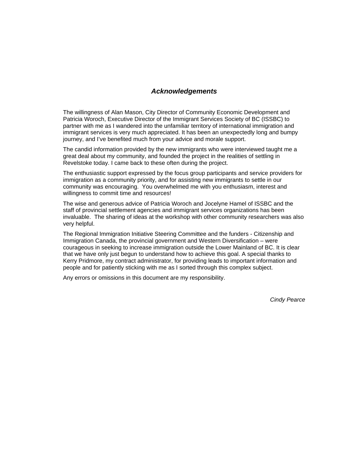### **Acknowledgements**

The willingness of Alan Mason, City Director of Community Economic Development and Patricia Woroch, Executive Director of the Immigrant Services Society of BC (ISSBC) to partner with me as I wandered into the unfamiliar territory of international immigration and immigrant services is very much appreciated. It has been an unexpectedly long and bumpy journey, and I've benefited much from your advice and morale support.

The candid information provided by the new immigrants who were interviewed taught me a great deal about my community, and founded the project in the realities of settling in Revelstoke today. I came back to these often during the project.

The enthusiastic support expressed by the focus group participants and service providers for immigration as a community priority, and for assisting new immigrants to settle in our community was encouraging. You overwhelmed me with you enthusiasm, interest and willingness to commit time and resources!

The wise and generous advice of Patricia Woroch and Jocelyne Hamel of ISSBC and the staff of provincial settlement agencies and immigrant services organizations has been invaluable. The sharing of ideas at the workshop with other community researchers was also very helpful.

The Regional Immigration Initiative Steering Committee and the funders - Citizenship and Immigration Canada, the provincial government and Western Diversification – were courageous in seeking to increase immigration outside the Lower Mainland of BC. It is clear that we have only just begun to understand how to achieve this goal. A special thanks to Kerry Pridmore, my contract administrator, for providing leads to important information and people and for patiently sticking with me as I sorted through this complex subject.

Any errors or omissions in this document are my responsibility.

Cindy Pearce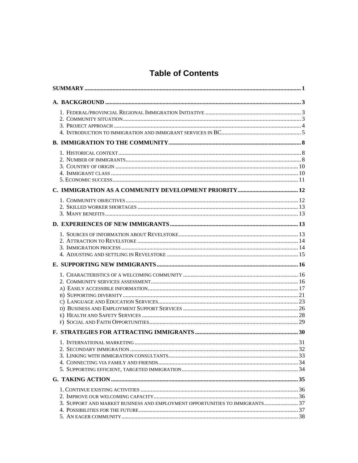## **Table of Contents**

| 3. SUPPORT AND MARKET BUSINESS AND EMPLOYMENT OPPORTUNITIES TO IMMIGRANTS 37 |  |
|------------------------------------------------------------------------------|--|
|                                                                              |  |
|                                                                              |  |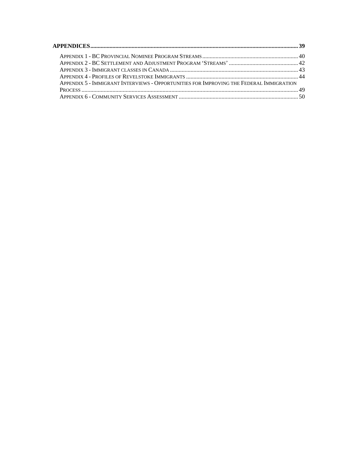| <b>APPENDICES.</b>                                                                      |  |
|-----------------------------------------------------------------------------------------|--|
| APPENDIX 1 - BC PROVINCIAL NOMINEE PROGRAM STREAMS                                      |  |
| APPENDIX 2 - BC SETTLEMENT AND ADJUSTMENT PROGRAM 'STREAMS'                             |  |
| APPENDIX 3 - IMMIGRANT CLASSES IN CANADA                                                |  |
| APPENDIX 4 - PROFILES OF REVELSTOKE IMMIGRANTS                                          |  |
| APPENDIX 5 - IMMIGRANT INTERVIEWS - OPPORTUNITIES FOR IMPROVING THE FEDERAL IMMIGRATION |  |
| PROCESS.                                                                                |  |
| APPENDIX 6 - COMMUNITY SERVICES ASSESSMENT                                              |  |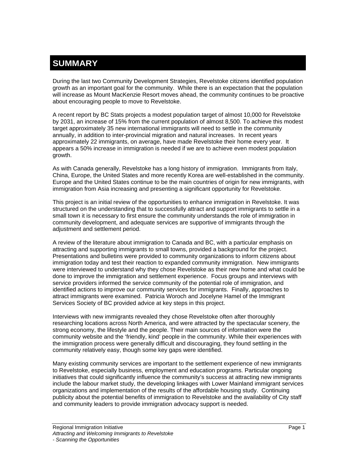## **SUMMARY**

During the last two Community Development Strategies, Revelstoke citizens identified population growth as an important goal for the community. While there is an expectation that the population will increase as Mount MacKenzie Resort moves ahead, the community continues to be proactive about encouraging people to move to Revelstoke.

A recent report by BC Stats projects a modest population target of almost 10,000 for Revelstoke by 2031, an increase of 15% from the current population of almost 8,500. To achieve this modest target approximately 35 new international immigrants will need to settle in the community annually, in addition to inter-provincial migration and natural increases. In recent years approximately 22 immigrants, on average, have made Revelstoke their home every year. It appears a 50% increase in immigration is needed if we are to achieve even modest population growth.<br>As with Canada generally, Revelstoke has a long history of immigration. Immigrants from Italy,

China, Europe, the United States and more recently Korea are well-established in the community. Europe and the United States continue to be the main countries of origin for new immigrants, with immigration from Asia increasing and presenting a significant opportunity for Revelstoke.

This project is an initial review of the opportunities to enhance immigration in Revelstoke. It was structured on the understanding that to successfully attract and support immigrants to settle in a small town it is necessary to first ensure the community understands the role of immigration in community development, and adequate services are supportive of immigrants through the adjustment and settlement period.

A review of the literature about immigration to Canada and BC, with a particular emphasis on attracting and supporting immigrants to small towns, provided a background for the project.<br>Presentations and bulletins were provided to community organizations to inform citizens about immigration today and test their reaction to expanded community immigration. New immigrants were interviewed to understand why they chose Revelstoke as their new home and what could be done to improve the immigration and settlement experience. Focus groups and interviews with service providers informed the service community of the potential role of immigration, and identified actions to improve our community services for immigrants. Finally, approaches to attract immigrants were examined. Patricia Woroch and Jocelyne Hamel of the Immigrant Services Society of BC provided advice at key steps in this project.

Interviews with new immigrants revealed they chose Revelstoke often after thoroughly researching locations across North America, and were attracted by the spectacular scenery, the strong economy, the lifestyle and the people. Their main sources of information were the community website and the 'friendly, kind' people in the community. While their experiences with the immigration process were generally difficult and discouraging, they found settling in the community relatively easy, though some key gaps were identified.

Many existing community services are important to the settlement experience of new immigrants to Revelstoke, especially business, employment and education programs. Particular ongoing initiatives that could significantly influence the community's success at attracting new immigrants include the labour market study, the developing linkages with Lower Mainland immigrant services organizations and implementation of the results of the affordable housing study. Continuing publicity about the potential benefits of immigration to Revelstoke and the availability of City staff and community leaders to provide immigration advocacy support is needed.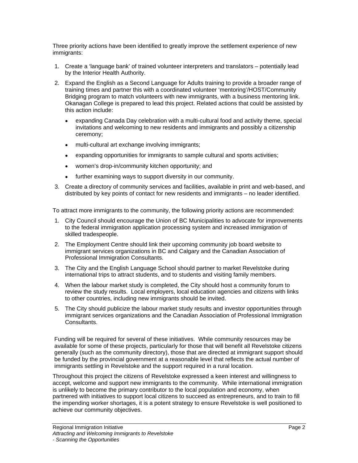Three priority actions have been identified to greatly improve the settlement experience of new immigrants:

- 1. Create a 'language bank' of trained volunteer interpreters and translators potentially lead by the Interior Health Authority.
- 2. Expand the English as a Second Language for Adults training to provide a broader range of training times and partner this with a coordinated volunteer 'mentoring'/HOST/Community Bridging program to match volunteers with new immigrants, with a business mentoring link. Okanagan College is prepared to lead this project. Related actions that could be assisted by this action include:
	- expanding Canada Day celebration with a multi-cultural food and activity theme, special invitations and welcoming to new residents and immigrants and possibly a citizenship ceremony;
	- multi-cultural art exchange involving immigrants;
	- expanding opportunities for immigrants to sample cultural and sports activities;
	- women's drop-in/community kitchen opportunity; and  $\bullet$
	- further examining ways to support diversity in our community.  $\bullet$
- 3. Create a directory of community services and facilities, available in print and web-based, and distributed by key points of contact for new residents and immigrants – no leader identified.

To attract more immigrants to the community, the following priority actions are recommended:

- 1. City Council should encourage the Union of BC Municipalities to advocate for improvements to the federal immigration application processing system and increased immigration of skilled tradespeople.
- 2. The Employment Centre should link their upcoming community job board website to immigrant services organizations in BC and Calgary and the Canadian Association of Professional Immigration Consultants.
- 3. The City and the English Language School should partner to market Revelstoke during international trips to attract students, and to students and visiting family members.
- 4. When the labour market study is completed, the City should host a community forum to review the study results. Local employers, local education agencies and citizens with links to other countries, including new immigrants should be invited.
- 5. The City should publicize the labour market study results and investor opportunities through immigrant services organizations and the Canadian Association of Professional Immigration Consultants.

Funding will be required for several of these initiatives. While community resources may be available for some of these projects, particularly for those that will benefit all Revelstoke citizens generally (such as the community directory), those that are directed at immigrant support should be funded by the provincial government at a reasonable level that reflects the actual number of immigrants settling in Revelstoke and the support required in a rural location.

Throughout this project the citizens of Revelstoke expressed a keen interest and willingness to accept, welcome and support new immigrants to the community. While international immigration is unlikely to become the primary contributor to the local population and economy, when partnered with initiatives to support local citizens to succeed as entrepreneurs, and to train to fill the impending worker shortages, it is a potent strategy to ensure Revelstoke is well positioned to achieve our community objectives.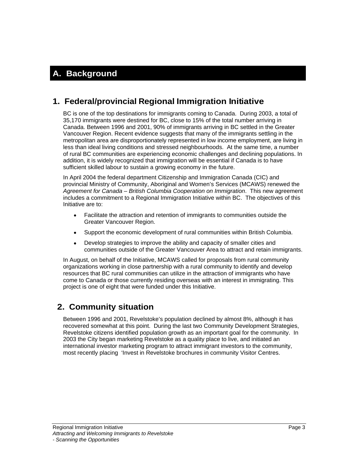## **A. Background**

## **1. Federal/provincial Regional Immigration Initiative**

BC is one of the top destinations for immigrants coming to Canada. During 2003, a total of 35,170 immigrants were destined for BC, close to 15% of the total number arriving in Canada. Between 1996 and 2001, 90% of immigrants arriving in BC settled in the Greater Vancouver Region. Recent evidence suggests that many of the immigrants settling in the metropolitan area are disproportionately represented in low income employment, are living in less than ideal living conditions and stressed neighbourhoods. At the same time, a number of rural BC communities are experiencing economic challenges and declining populations. In addition, it is widely recognized that immigration will be essential if Canada is to have sufficient skilled labour to sustain a growing economy in the future.

In April 2004 the federal department Citizenship and Immigration Canada (CIC) and provincial Ministry of Community, Aboriginal and Women's Services (MCAWS) renewed the Agreement for Canada – British Columbia Cooperation on Immigration. This new agreement includes a commitment to a Regional Immigration Initiative within BC. The objectives of this Initiative are to: **Internal and the Community of the Community of the Community of the Community of the Community of the Community of the Community of the Community of the Community of the Community of the Community of th** 

- Facilitate the attraction and retention of immigrants to communities outside the  $\bullet$ Greater Vancouver Region.
- Support the economic development of rural communities within British Columbia.  $\bullet$
- Develop strategies to improve the ability and capacity of smaller cities and  $\bullet$ communities outside of the Greater Vancouver Area to attract and retain immigrants.

In August, on behalf of the Initiative, MCAWS called for proposals from rural community organizations working in close partnership with a rural community to identify and develop resources that BC rural communities can utilize in the attraction of immigrants who have come to Canada or those currently residing overseas with an interest in immigrating. This project is one of eight that were funded under this Initiative.

## **2. Community situation**

Between 1996 and 2001, Revelstoke's population declined by almost 8%, although it has recovered somewhat at this point. During the last two Community Development Strategies, Revelstoke citizens identified population growth as an important goal for the community. In 2003 the City began marketing Revelstoke as a quality place to live, and initiated an international investor marketing program to attract immigrant investors to the community, most recently placing 'Invest in Revelstoke brochures in community Visitor Centres.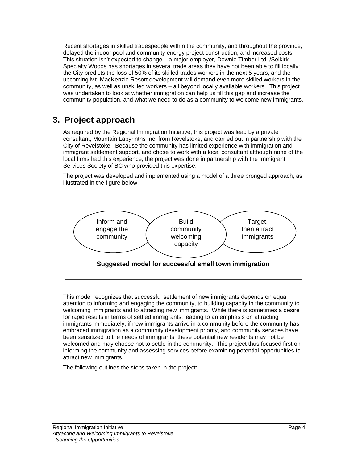Recent shortages in skilled tradespeople within the community, and throughout the province, delayed the indoor pool and community energy project construction, and increased costs. This situation isn't expected to change – a major employer, Downie Timber Ltd. /Selkirk Specialty Woods has shortages in several trade areas they have not been able to fill locally; the City predicts the loss of 50% of its skilled trades workers in the next 5 years, and the upcoming Mt. MacKenzie Resort development will demand even more skilled workers in the community, as well as unskilled workers – all beyond locally available workers. This project was undertaken to look at whether immigration can help us fill this gap and increase the community population, and what we need to do as a community to welcome new immigrants.

## **3. Project approach**

As required by the Regional Immigration Initiative, this project was lead by a private consultant, Mountain Labyrinths Inc. from Revelstoke, and carried out in partnership with the City of Revelstoke. Because the community has limited experience with immigration and immigrant settlement support, and chose to work with a local consultant although none of the local firms had this experience, the project was done in partnership with the Immigrant Services Society of BC who provided this expertise.

The project was developed and implemented using a model of a three pronged approach, as



attention to informing and engaging the community, to building capacity in the community to welcoming immigrants and to attracting new immigrants. While there is sometimes a desire for rapid results in terms of settled immigrants, leading to an emphasis on attracting immigrants immediately, if new immigrants arrive in a community before the community has embraced immigration as a community development priority, and community services have been sensitized to the needs of immigrants, these potential new residents may not be welcomed and may choose not to settle in the community. This project thus focused first on informing the community and assessing services before examining potential opportunities to attract new immigrants.

The following outlines the steps taken in the project: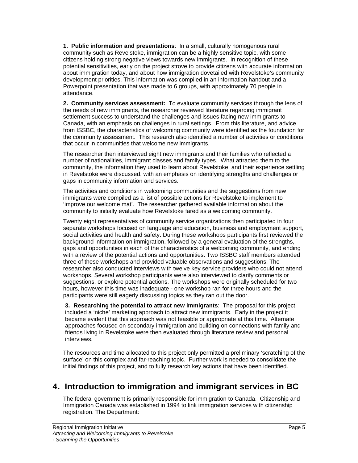**1. Public information and presentations**: In a small, culturally homogenous rural community such as Revelstoke, immigration can be a highly sensitive topic, with some citizens holding strong negative views towards new immigrants. In recognition of these potential sensitivities, early on the project strove to provide citizens with accurate information about immigration today, and about how immigration dovetailed with Revelstoke's community development priorities. This information was compiled in an information handout and a Powerpoint presentation that was made to 6 groups, with approximately 70 people in attendance.

**2. Community services assessment:** To evaluate community services through the lens of the needs of new immigrants, the researcher reviewed literature regarding immigrant settlement success to understand the challenges and issues facing new immigrants to Canada, with an emphasis on challenges in rural settings. From this literature, and advice from ISSBC, the characteristics of welcoming community were identified as the foundation for the community assessment. This research also identified a number of activities or conditions that occur in communities that welcome new immigrants.

The researcher then interviewed eight new immigrants and their families who reflected a number of nationalities, immigrant classes and family types. What attracted them to the community, the information they used to learn about Revelstoke, and their experience settling in Revelstoke were discussed, with an emphasis on identifying strengths and challenges or gaps in community information and services.

The activities and conditions in welcoming communities and the suggestions from new immigrants were compiled as a list of possible actions for Revelstoke to implement to 'improve our welcome mat'. The researcher gathered available information about the community to initially evaluate how Revelstoke fared as a welcoming community.

Twenty eight representatives of community service organizations then participated in four separate workshops focused on language and education, business and employment support, social activities and health and safety. During these workshops participants first reviewed the background information on immigration, followed by a general evaluation of the strengths, gaps and opportunities in each of the characteristics of a welcoming community, and ending with a review of the potential actions and opportunities. Two ISSBC staff members attended three of these workshops and provided valuable observations and suggestions. The researcher also conducted interviews with twelve key service providers who could not attend workshops. Several workshop participants were also interviewed to clarify comments or suggestions, or explore potential actions. The workshops were originally scheduled for two hours, however this time was inadequate - one workshop ran for three hours and the participants were still eagerly discussing topics as they ran out the door.

**3. Researching the potential to attract new immigrants**: The proposal for this project included a 'niche' marketing approach to attract new immigrants. Early in the project it became evident that this approach was not feasible or appropriate at this time. Alternate approaches focused on secondary immigration and building on connections with family and friends living in Revelstoke were then evaluated through literature review and personal interviews.

The resources and time allocated to this project only permitted a preliminary 'scratching of the surface' on this complex and far-reaching topic. Further work is needed to consolidate the initial findings of this project, and to fully research key actions that have been identified.

## **4. Introduction to immigration and immigrant services in BC**

The federal government is primarily responsible for immigration to Canada. Citizenship and Immigration Canada was established in 1994 to link immigration services with citizenship registration. The Department: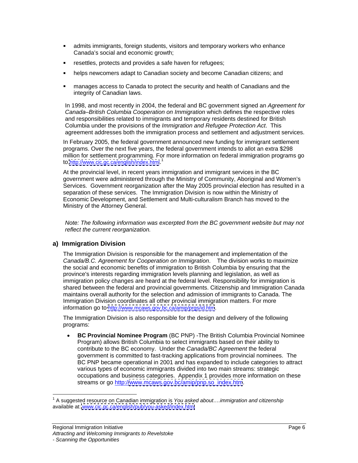- admits immigrants, foreign students, visitors and temporary workers who enhance Canada's social and economic growth;
- resettles, protects and provides a safe haven for refugees;  $\blacksquare$
- helps newcomers adapt to Canadian society and become Canadian citizens; and  $\blacksquare$
- manages access to Canada to protect the security and health of Canadians and the  $\blacksquare$ integrity of Canadian laws.

In 1998, and most recently in 2004, the federal and BC government signed an Agreement for Canada–British Columbia Cooperation on Immigration which defines the respective roles and responsibilities related to immigrants and temporary residents destined for British Columbia under the provisions of the Immigration and Refugee Protection Act. This agreement addresses both the immigration process and settlement and adjustment services.

In February 2005, the federal government announced new funding for immigrant settlement programs. Over the next five years, the federal government intends to allot an extra \$298 million for settlement programming. For more information on federal immigration programs go to <u>http://www.cic.gc.ca/english/index.html</u>.<sup>1</sup>

At the provincial level, in recent years immigration and immigrant services in the BC government were administered through the Ministry of Community, Aboriginal and Women's Services. Government reorganization after the May 2005 provincial election has resulted in a separation of these services. The Immigration Division is now within the Ministry of Economic Development, and Settlement and Multi-culturalism Branch has moved to the Ministry of the Attorney General.

Note: The following information was excerpted from the BC government website but may not reflect the current reorganization.

### **a) Immigration Division**

The Immigration Division is responsible for the management and implementation of the Canada/B.C. Agreement for Cooperation on Immigration. The division works to maximize the social and economic benefits of immigration to British Columbia by ensuring that the province's interests regarding immigration levels planning and legislation, as well as immigration policy changes are heard at the federal level. Responsibility for immigration is shared between the federal and provincial governments. Citizenship and Immigration Canada maintains overall authority for the selection and admission of immigrants to Canada. The Immigration Division coordinates all other provincial immigration matters. For more information go to<http://www.mcaws.gov.bc.ca/amip/prgs/id.htm>.

The Immigration Division is also responsible for the design and delivery of the following programs:

**BC Provincial Nominee Program** (BC PNP) -The British Columbia Provincial Nominee Program) allows British Columbia to select immigrants based on their ability to contribute to the BC economy. Under the Canada/BC Agreement the federal government is committed to fast-tracking applications from provincial nominees. The BC PNP became operational in 2001 and has expanded to include categories to attract various types of economic immigrants divided into two main streams: strategic occupations and business categories. Appendix 1 provides more information on these streams or go http:/[/www.mcaws.gov.bc/amip/pnp.so\\_index.htm](http://www.mcaws.gov.bc/amip/pnp.so_index.htm).

<sup>————————————————————&</sup>lt;br><sup>1</sup> A suggested resource on Canadian immigration is *You asked about….immigration and citizenship* available at: [www.cic.gc.ca/english/pub/you-asked/index.html](http://www.cic.gc.ca/english/pub/you-asked/index.html)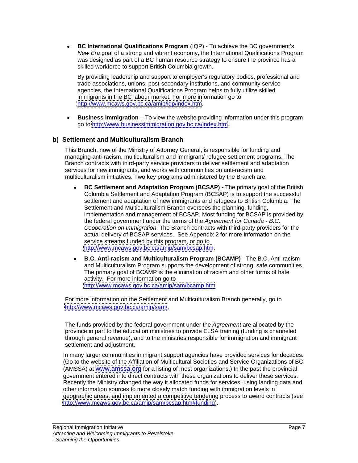**BC International Qualifications Program** (IQP) - To achieve the BC government's  $\bullet$ New Era goal of a strong and vibrant economy, the International Qualifications Program was designed as part of a BC human resource strategy to ensure the province has a skilled workforce to support British Columbia growth.

By providing leadership and support to employer's regulatory bodies, professional and trade associations, unions, post-secondary institutions, and community service agencies, the International Qualifications Program helps to fully utilize skilled immigrants in the BC labour market. For more information go to <http://www.mcaws.gov.bc.ca/amip/iqp/index.htm>.

**Business Immigration** – To view the website providing information under this program go to<http://www.businessimmigration.gov.bc.ca/index.htm>.

### **b) Settlement and Multiculturalism Branch**

This Branch, now of the Ministry of Attorney General, is responsible for funding and managing anti-racism, multiculturalism and immigrant/ refugee settlement programs. The Branch contracts with third-party service providers to deliver settlement and adaptation services for new immigrants, and works with communities on anti-racism and multiculturalism initiatives. Two key programs administered by the Branch are:

- **BC Settlement and Adaptation Program (BCSAP) -** The primary goal of the British  $\bullet$ Columbia Settlement and Adaptation Program (BCSAP) is to support the successful settlement and adaptation of new immigrants and refugees to British Columbia. The Settlement and Multiculturalism Branch oversees the planning, funding, implementation and management of BCSAP. Most funding for BCSAP is provided by the federal government under the terms of the Agreement for Canada - B.C. Cooperation on Immigration. The Branch contracts with third-party providers for the actual delivery of BCSAP services. See Appendix 2 for more information on the service streams funded by this program, or go to <http://www.mcaws.gov.bc.ca/amip/sam/bcsap.htm>.
- **B.C. Anti-racism and Multiculturalism Program (BCAMP)** The B.C. Anti-racism  $\bullet$ and Multiculturalism Program supports the development of strong, safe communities. The primary goal of BCAMP is the elimination of racism and other forms of hate activity. For more information go to <http://www.mcaws.gov.bc.ca/amip/sam/bcamp.htm>.

For more information on the Settlement and Multiculturalism Branch generally, go to <http://www.mcaws.gov.bc.ca/amip/sam/>.

The funds provided by the federal government under the Agreement are allocated by the province in part to the education ministries to provide ELSA training (funding is channeled through general revenue), and to the ministries responsible for immigration and immigrant settlement and adjustment.

In many larger communities immigrant support agencies have provided services for decades. (Go to the website of the Affiliation of Multicultural Societies and Service Organizations of BC (AMSSA) at [www.amssa.org](http://www.amssa.org) for a listing of most organizations.) In the past the provincial government entered into direct contracts with these organizations to deliver these services. Recently the Ministry changed the way it allocated funds for services, using landing data and other information sources to more closely match funding with immigration levels in geographic areas, and implemented a competitive tendering process to award contracts (see <http://www.mcaws.gov.bc.ca/amip/sam/bcsap.htm#funding>).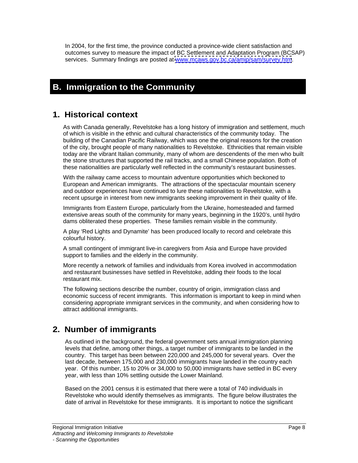In 2004, for the first time, the province conducted a province-wide client satisfaction and outcomes survey to measure the impact of BC Settlement and Adaptation Program (BCSAP) services. Summary findings are posted at [www.mcaws.gov.bc.ca/amip/sam/survey.htm](http://www.mcaws.gov.bc.ca/amip/sam/survey.htm).

## **B. Immigration to the Community**

## **1. Historical context**

As with Canada generally, Revelstoke has a long history of immigration and settlement, much of which is visible in the ethnic and cultural characteristics of the community today. The building of the Canadian Pacific Railway, which was one the original reasons for the creation of the city, brought people of many nationalities to Revelstoke. Ethnicities that remain visible today are the vibrant Italian community, many of whom are descendents of the men who built the stone structures that supported the rail tracks, and a small Chinese population. Both of these nationalities are particularly well reflected in the community's restaurant businesses.

With the railway came access to mountain adventure opportunities which beckoned to European and American immigrants. The attractions of the spectacular mountain scenery and outdoor experiences have continued to lure these nationalities to Revelstoke, with a recent upsurge in interest from new immigrants seeking improvement in their quality of life.

Immigrants from Eastern Europe, particularly from the Ukraine, homesteaded and farmed extensive areas south of the community for many years, beginning in the 1920's, until hydro dams obliterated these properties. These families remain visible in the community.

A play 'Red Lights and Dynamite' has been produced locally to record and celebrate this colourful history.

A small contingent of immigrant live-in caregivers from Asia and Europe have provided support to families and the elderly in the community.

More recently a network of families and individuals from Korea involved in accommodation and restaurant businesses have settled in Revelstoke, adding their foods to the local restaurant mix.

The following sections describe the number, country of origin, immigration class and economic success of recent immigrants. This information is important to keep in mind when considering appropriate immigrant services in the community, and when considering how to attract additional immigrants.

## **2. Number of immigrants**

As outlined in the background, the federal government sets annual immigration planning levels that define, among other things, a target number of immigrants to be landed in the country. This target has been between 220,000 and 245,000 for several years. Over the last decade, between 175,000 and 230,000 immigrants have landed in the country each year. Of this number, 15 to 20% or 34,000 to 50,000 immigrants have settled in BC every year, with less than 10% settling outside the Lower Mainland.

Based on the 2001 census it is estimated that there were a total of 740 individuals in Revelstoke who would identify themselves as immigrants. The figure below illustrates the date of arrival in Revelstoke for these immigrants. It is important to notice the significant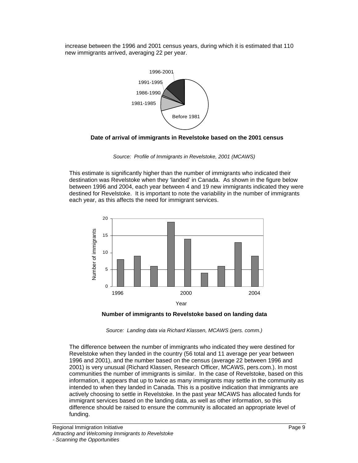increase between the 1996 and 2001 census years, during which it is estimated that 110 new immigrants arrived, averaging 22 per year.





Source: Profile of Immigrants in Revelstoke, 2001 (MCAWS)

This estimate is significantly higher than the number of immigrants who indicated their destination was Revelstoke when they 'landed' in Canada. As shown in the figure below between 1996 and 2004, each year between 4 and 19 new immigrants indicated they were destined for Revelstoke. It is important to note the variability in the number of immigrants each year, as this affects the need for immigrant services.





Source: Landing data via Richard Klassen, MCAWS (pers. comm.)

The difference between the number of immigrants who indicated they were destined for Revelstoke when they landed in the country (56 total and 11 average per year between 1996 and 2001), and the number based on the census (average 22 between 1996 and 2001) is very unusual (Richard Klassen, Research Officer, MCAWS, pers.com.). In most communities the number of immigrants is similar. In the case of Revelstoke, based on this information, it appears that up to twice as many immigrants may settle in the community as intended to when they landed in Canada. This is a positive indication that immigrants are actively choosing to settle in Revelstoke. In the past year MCAWS has allocated funds for immigrant services based on the landing data, as well as other information, so this difference should be raised to ensure the community is allocated an appropriate level of funding.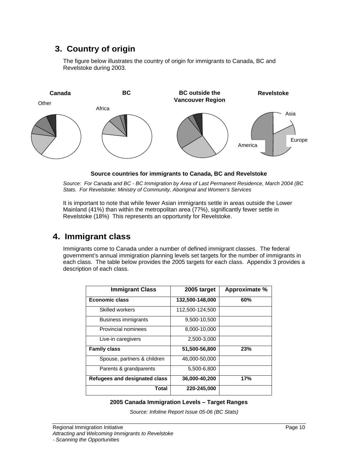## **3. Country of origin**

The figure below illustrates the country of origin for immigrants to Canada, BC and Revelstoke during 2003.



**Source countries for immigrants to Canada, BC and Revelstoke**

Source: For Canada and BC - BC Immigration by Area of Last Permanent Residence, March 2004 (BC Stats. For Revelstoke: Ministry of Community, Aboriginal and Women's Services

It is important to note that while fewer Asian immigrants settle in areas outside the Lower Mainland (41%) than within the metropolitan area (77%), significantly fewer settle in Revelstoke (18%) This represents an opportunity for Revelstoke.

## **4. Immigrant class**

Immigrants come to Canada under a number of defined immigrant classes. The federal government's annual immigration planning levels set targets for the number of immigrants in each class. The table below provides the 2005 targets for each class. Appendix 3 provides a description of each class.

| <b>Immigrant Class</b>        | 2005 target     | Approximate % |
|-------------------------------|-----------------|---------------|
| <b>Economic class</b>         | 132,500-148,000 | 60%           |
| Skilled workers               | 112,500-124,500 |               |
| <b>Business immigrants</b>    | 9,500-10,500    |               |
| Provincial nominees           | 8,000-10,000    |               |
| Live-in caregivers            | 2,500-3,000     |               |
| <b>Family class</b>           | 51,500-56,800   | 23%           |
| Spouse, partners & children   | 46,000-50,000   |               |
| Parents & grandparents        | 5,500-6,800     |               |
| Refugees and designated class | 36,000-40,200   | 17%           |
| <b>Total</b>                  | 220-245,000     |               |

### **2005 Canada Immigration Levels – Target Ranges**

Source: Infoline Report Issue 05-06 (BC Stats)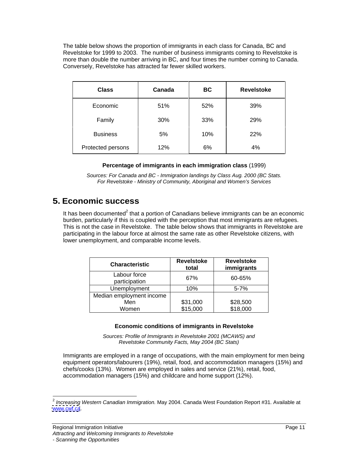The table below shows the proportion of immigrants in each class for Canada, BC and Revelstoke for 1999 to 2003. The number of business immigrants coming to Revelstoke is more than double the number arriving in BC, and four times the number coming to Canada. Conversely, Revelstoke has attracted far fewer skilled workers.

| <b>Class</b>                                                                                         | <b>Canada</b> | <b>BC</b> | <b>Revelstoke</b> |
|------------------------------------------------------------------------------------------------------|---------------|-----------|-------------------|
| Economic                                                                                             | 51%           | 52%       | 39%               |
| Family                                                                                               | 30%           | 33%       | 29%               |
| <b>Business</b>                                                                                      | 5%            | 10%       | 22%               |
| Protected persons<br>the contract of the contract of the contract of the contract of the contract of | 12%           | 6%        | 4%                |

#### **Percentage of immigrants in each immigration class** (1999)

Sources: For Canada and BC - Immigration landings by Class Aug. 2000 (BC Stats. For Revelstoke - Ministry of Community, Aboriginal and Women's Services

### **5. Economic success**

It has been documented<sup>2</sup> that a portion of Canadians believe immigrants can be an economic burden, particularly if this is coupled with the perception that most immigrants are refugees. This is not the case in Revelstoke. The table below shows that immigrants in Revelstoke are participating in the labour force at almost the same rate as other Revelstoke citizens, with lower unemployment, and comparable income levels.

|                          | Revelstoke                                                                               | Revelstoke     |
|--------------------------|------------------------------------------------------------------------------------------|----------------|
| Characteristic           | total<br>the contract of the contract of the contract of the contract of the contract of | immigrants     |
| Labour force             | 270/                                                                                     | 60-65%         |
| participation            | $\mathsf{v}$ , $\mathsf{v}$                                                              |                |
| Unemployment             |                                                                                          | - 70/<br>3-770 |
| Median employment income |                                                                                          |                |
| Men                      | \$31,000                                                                                 | \$28,500       |
| Women                    | \$15,000                                                                                 | \$18,000       |

### **Economic conditions of immigrants in Revelstoke**

Sources: Profile of Immigrants in Revelstoke 2001 (MCAWS) and Revelstoke Community Facts, May 2004 (BC Stats)

Immigrants are employed in a range of occupations, with the main employment for men being equipment operators/labourers (19%), retail, food, and accommodation managers (15%) and chefs/cooks (13%). Women are employed in sales and service (21%), retail, food, accommodation managers (15%) and childcare and home support (12%).

<sup>2</sup> Increasing Western Canadian Immigration. May 2004. Canada West Foundation Report #31. Available at [www.cwf.ca](http://www.cwf.ca).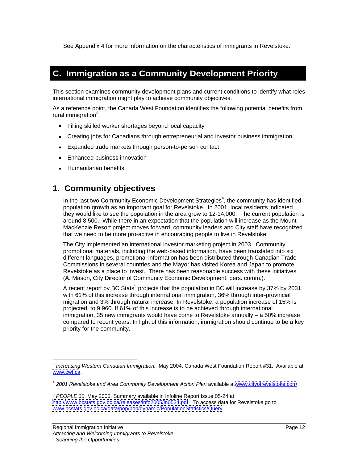See Appendix 4 for more information on the characteristics of immigrants in Revelstoke.

## **C. Immigration as a Community Development Priority**

This section examines community development plans and current conditions to identify what roles international immigration might play to achieve community objectives.<br>As a reference point, the Canada West Foundation identifies the following potential benefits from

rural immigration<sup>3</sup>:  $\sim$ the contract of the contract of the contract of the contract of the contract of the contract of the contract o

- Filling skilled worker shortages beyond local capacity
- Creating jobs for Canadians through entrepreneurial and investor business immigration
- Expanded trade markets through person-to-person contact
- Enhanced business innovation
- Humanitarian benefits

### **1. Community objectives**

In the last two Community Economic Development Strategies<sup>4</sup>, the community has identified population growth as an important goal for Revelstoke. In 2001, local residents indicated they would like to see the population in the area grow to 12-14,000. The current population is around 8,500. While there in an expectation that the population will increase as the Mount MacKenzie Resort project moves forward, community leaders and City staff have recognized that we need to be more pro-active in encouraging people to live in Revelstoke.

The City implemented an international investor marketing project in 2003. Community promotional materials, including the web-based information, have been translated into six different languages, promotional information has been distributed through Canadian Trade Commissions in several countries and the Mayor has visited Korea and Japan to promote Revelstoke as a place to invest. There has been reasonable success with these initiatives (A. Mason, City Director of Community Economic Development, pers. comm.).

A recent report by BC Stats<sup>5</sup> projects that the population in BC will increase by 37% by 2031, with 61% of this increase through international immigration, 36% through inter-provincial migration and 3% through natural increase. In Revelstoke, a population increase of 15% is projected, to 9,960. If 61% of this increase is to be achieved through international immigration, 35 new immigrants would have come to Revelstoke annually – a 50% increase compared to recent years. In light of this information, immigration should continue to be a key priority for the community.

<sup>3</sup> Increasing Western Canadian Immigration. May 2004. Canada West Foundation Report #31. Available at [www.cwf.ca](http://www.cwf.ca). extensive control of the control of the control of the control of the control of the control of the control of the control of the control of the control of the control of the control of the control of the contr

<sup>&</sup>lt;sup>4</sup> 2001 Revelstoke and Area Community Development Action Plan available at [www.cityofrevelstoke.com](http://www.cityofrevelstoke.com)

<sup>5</sup> PEOPLE 30, May 2005. Summary available in Infoline Report Issue 05-24 at <http://www.bcstats.gov.bc.ca/releases/info2005/in0524.pdf>. To access data for Revelstoke go to [www.bcstats.gov.bc.ca/data/pop/pop/dynamic/PopulationStatistics/Query](http://www.bcstats.gov.bc.ca/data/pop/pop/dynamic/PopulationStatistics/Query)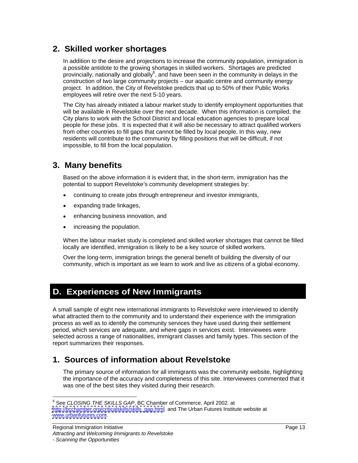## **2. Skilled worker shortages**

In addition to the desire and projections to increase the community population, immigration is a possible antidote to the growing shortages in skilled workers. Shortages are predicted provincially, nationally and globally $^6$ , and have been seen in the community in delays in the construction of two large community projects – our aquatic centre and community energy project. In addition, the City of Revelstoke predicts that up to 50% of their Public Works employees will retire over the next 5-10 years.

The City has already initiated a labour market study to identify employment opportunities that will be available in Revelstoke over the next decade. When this information is compiled, the City plans to work with the School District and local education agencies to prepare local people for these jobs. It is expected that it will also be necessary to attract qualified workers from other countries to fill gaps that cannot be filled by local people. In this way, new residents will contribute to the community by filling positions that will be difficult, if not impossible, to fill from the local population.

## **3. Many benefits**

Based on the above information it is evident that, in the short-term, immigration has the potential to support Revelstoke's community development strategies by:

- $\bullet$ continuing to create jobs through entrepreneur and investor immigrants,
- expanding trade linkages,
- enhancing business innovation, and  $\bullet$
- $\bullet$ increasing the population.

When the labour market study is completed and skilled worker shortages that cannot be filled locally are identified, immigration is likely to be a key source of skilled workers.

Over the long-term, immigration brings the general benefit of building the diversity of our community, which is important as we learn to work and live as citizens of a global economy.

## **D. Experiences of New Immigrants**

A small sample of eight new international immigrants to Revelstoke were interviewed to identify what attracted them to the community and to understand their experience with the immigration process as well as to identify the community services they have used during their settlement period, which services are adequate, and where gaps in services exist. Interviewees were selected across a range of nationalities, immigrant classes and family types. This section of the report summarizes their responses.

## **1. Sources of information about Revelstoke**

The primary source of information for all immigrants was the community website, highlighting the importance of the accuracy and completeness of this site. Interviewees commented that it was one of the best sites they visited during their research.

<sup>6</sup> See CLOSING THE SKILLS GAP, BC Chamber of Commerce. April 2002. at [http://bcchamber.org/criticalskills/skills\\_gap.html](http://bcchamber.org/criticalskills/skills_gap.html) and The Urban Futures Institute website at [www.urbanfutures.com](http://www.urbanfutures.com).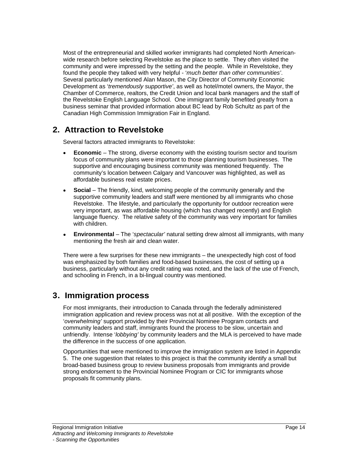Most of the entrepreneurial and skilled worker immigrants had completed North American wide research before selecting Revelstoke as the place to settle. They often visited the community and were impressed by the setting and the people. While in Revelstoke, they found the people they talked with very helpful - 'much better than other communities'.<br>Several particularly mentioned Alan Mason, the City Director of Community Economic Development as 'tremendously supportive', as well as hotel/motel owners, the Mayor, the Chamber of Commerce, realtors, the Credit Union and local bank managers and the staff of the Revelstoke English Language School. One immigrant family benefited greatly from a business seminar that provided information about BC lead by Rob Schultz as part of the Canadian High Commission Immigration Fair in England.

## **2. Attraction to Revelstoke**

Several factors attracted immigrants to Revelstoke:

- **Economic** The strong, diverse economy with the existing tourism sector and tourism focus of community plans were important to those planning tourism businesses. The supportive and encouraging business community was mentioned frequently. The community's location between Calgary and Vancouver was highlighted, as well as affordable business real estate prices.
- **Social** The friendly, kind, welcoming people of the community generally and the supportive community leaders and staff were mentioned by all immigrants who chose Revelstoke. The lifestyle, and particularly the opportunity for outdoor recreation were very important, as was affordable housing (which has changed recently) and English language fluency. The relative safety of the community was very important for families with children. The contract of the contract of the contract of the contract of the contract of the contract of the contract of the contract of the contract of the contract of the contract of the contract of the contract of
- **Environmental** The 'spectacular' natural setting drew almost all immigrants, with many mentioning the fresh air and clean water.

There were a few surprises for these new immigrants – the unexpectedly high cost of food was emphasized by both families and food-based businesses, the cost of setting up a business, particularly without any credit rating was noted, and the lack of the use of French, and schooling in French, in a bi-lingual country was mentioned.

## **3. Immigration process**

For most immigrants, their introduction to Canada through the federally administered immigration application and review process was not at all positive. With the exception of the 'overwhelming' support provided by their Provincial Nominee Program contacts and community leaders and staff, immigrants found the process to be slow, uncertain and unfriendly. Intense 'lobbying' by community leaders and the MLA is perceived to have made the difference in the success of one application.<br>Opportunities that were mentioned to improve the immigration system are listed in Appendix

5. The one suggestion that relates to this project is that the community identify a small but broad-based business group to review business proposals from immigrants and provide strong endorsement to the Provincial Nominee Program or CIC for immigrants whose proposals fit community plans.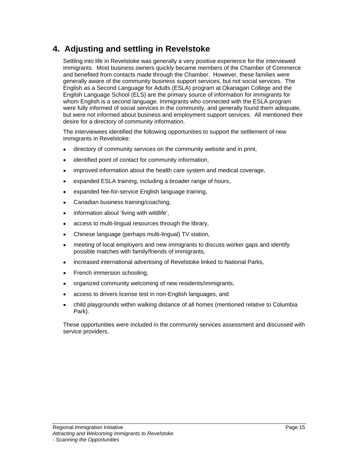## **4. Adjusting and settling in Revelstoke**

Settling into life in Revelstoke was generally a very positive experience for the interviewed immigrants. Most business owners quickly became members of the Chamber of Commerce and benefited from contacts made through the Chamber. However, these families were generally aware of the community business support services, but not social services. The English as a Second Language for Adults (ESLA) program at Okanagan College and the English Language School (ELS) are the primary source of information for immigrants for whom English is a second language. Immigrants who connected with the ESLA program were fully informed of social services in the community, and generally found them adequate, but were not informed about business and employment support services. All mentioned their desire for a directory of community information.

The interviewees identified the following opportunities to support the settlement of new immigrants in Revelstoke:

- directory of community services on the community website and in print,  $\bullet$
- $\bullet$ identified point of contact for community information,
- improved information about the health care system and medical coverage,  $\bullet$
- expanded ESLA training, including a broader range of hours,  $\bullet$
- expanded fee-for-service English language training,
- Canadian business training/coaching,  $\bullet$
- information about 'living with wildlife',  $\bullet$
- access to multi-lingual resources through the library,
- Chinese language (perhaps multi-lingual) TV station,  $\bullet$
- meeting of local employers and new immigrants to discuss worker gaps and identify  $\bullet$ possible matches with family/friends of immigrants,
- increased international advertising of Revelstoke linked to National Parks,  $\bullet$
- French immersion schooling,
- organized community welcoming of new residents/immigrants,  $\bullet$
- access to drivers license test in non-English languages, and  $\bullet$
- child playgrounds within walking distance of all homes (mentioned relative to Columbia  $\bullet$ Park). The contract of the contract of the contract of the contract of the contract of the contract of the contract of the contract of the contract of the contract of the contract of the contract of the contract of the con

These opportunities were included in the community services assessment and discussed with service providers.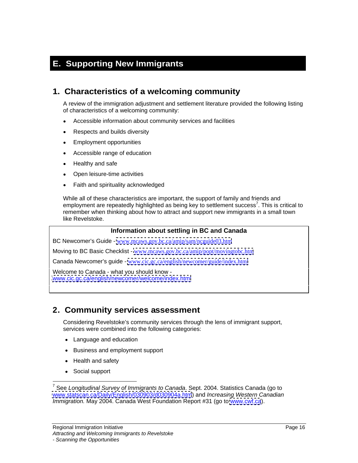## **E. Supporting New Immigrants**

## **1. Characteristics of a welcoming community**

A review of the immigration adjustment and settlement literature provided the following listing of characteristics of a welcoming community:

- Accessible information about community services and facilities  $\bullet$
- Respects and builds diversity  $\bullet$
- Employment opportunities  $\bullet$
- $\bullet$ Accessible range of education
- $\bullet$ Healthy and safe
- Open leisure-time activities
- Faith and spirituality acknowledged

While all of these characteristics are important, the support of family and friends and employment are repeatedly highlighted as being key to settlement success<sup>7</sup>. This is critical to remember when thinking about how to attract and support new immigrants in a small town like Revelstoke.

#### **Information about settling in BC and Canada**

BC Newcomer's Guide - [www.mcaws.gov.bc.ca/amip/sam/ncguide03.htm](http://www.mcaws.gov.bc.ca/amip/sam/ncguide03.htm)

Moving to BC Basic Checklist - [www.mcaws.gov.bc.ca/amip/popt/movingtobc.htm](http://www.mcaws.gov.bc.ca/amip/popt/movingtobc.htm)

Canada Newcomer's guide - [www.cic.gc.ca/english/newcomer/guide/index.html](http://www.cic.gc.ca/english/newcomer/guide/index.html)

Welcome to Canada - what you should know [www.cic.gc.ca/english/newcomer/welcome/index.html](http://www.cic.gc.ca/english/newcomer/welcome/index.html)

### **2. Community services assessment**

Considering Revelstoke's community services through the lens of immigrant support, services were combined into the following categories:

- Language and education
- Business and employment support
- Health and safety
- $\bullet$ Social support

<sup>————————————————————&</sup>lt;br><sup>7</sup> See *Longitudinal Survey of Immigrants to Canada*. Sept. 2004. Statistics Canada (go to [www.statscan.ca/Daily/English/030903/d030904a.htm](http://www.statscan.ca/Daily/English/030903/d030904a.htm)) and Increasing Western Canadian Immigration. May 2004. Canada West Foundation Report #31 (go to [www.cwf.ca](http://www.cwf.ca)).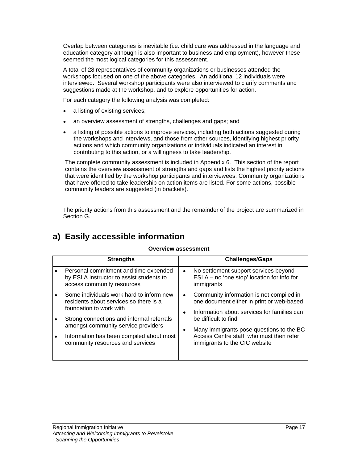Overlap between categories is inevitable (i.e. child care was addressed in the language and education category although is also important to business and employment), however these seemed the most logical categories for this assessment.

A total of 28 representatives of community organizations or businesses attended the workshops focused on one of the above categories. An additional 12 individuals were interviewed. Several workshop participants were also interviewed to clarify comments and suggestions made at the workshop, and to explore opportunities for action.

For each category the following analysis was completed:

- a listing of existing services;
- an overview assessment of strengths, challenges and gaps; and  $\bullet$
- a listing of possible actions to improve services, including both actions suggested during  $\bullet$ the workshops and interviews, and those from other sources, identifying highest priority actions and which community organizations or individuals indicated an interest in contributing to this action, or a willingness to take leadership.

The complete community assessment is included in Appendix 6. This section of the report contains the overview assessment of strengths and gaps and lists the highest priority actions that were identified by the workshop participants and interviewees. Community organizations that have offered to take leadership on action items are listed. For some actions, possible community leaders are suggested (in brackets).

The priority actions from this assessment and the remainder of the project are summarized in Section G.

## **a) Easily accessible information**

#### **Overview assessment**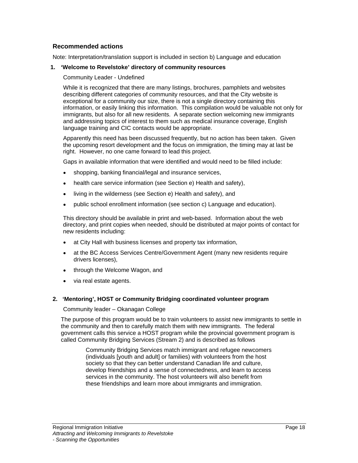### **Recommended actions**

Note: Interpretation/translation support is included in section b) Language and education

#### **1. 'Welcome to Revelstoke' directory of community resources**

Community Leader - Undefined

While it is recognized that there are many listings, brochures, pamphlets and websites describing different categories of community resources, and that the City website is exceptional for a community our size, there is not a single directory containing this information, or easily linking this information. This compilation would be valuable not only for immigrants, but also for all new residents. A separate section welcoming new immigrants and addressing topics of interest to them such as medical insurance coverage, English language training and CIC contacts would be appropriate.

Apparently this need has been discussed frequently, but no action has been taken. Given the upcoming resort development and the focus on immigration, the timing may at last be right. However, no one came forward to lead this project.

Gaps in available information that were identified and would need to be filled include:

- shopping, banking financial/legal and insurance services,
- health care service information (see Section e) Health and safety),  $\bullet$
- living in the wilderness (see Section e) Health and safety), and  $\bullet$
- public school enrollment information (see section c) Language and education).

This directory should be available in print and web-based. Information about the web directory, and print copies when needed, should be distributed at major points of contact for new residents including:

- at City Hall with business licenses and property tax information,
- at the BC Access Services Centre/Government Agent (many new residents require drivers licenses),
- through the Welcome Wagon, and  $\bullet$
- via real estate agents.

#### **2. 'Mentoring', HOST or Community Bridging coordinated volunteer program**

Community leader – Okanagan College

The purpose of this program would be to train volunteers to assist new immigrants to settle in the community and then to carefully match them with new immigrants. The federal government calls this service a HOST program while the provincial government program is called Community Bridging Services (Stream 2) and is described as follows

> Community Bridging Services match immigrant and refugee newcomers (individuals [youth and adult] or families) with volunteers from the host society so that they can better understand Canadian life and culture, develop friendships and a sense of connectedness, and learn to access services in the community. The host volunteers will also benefit from these friendships and learn more about immigrants and immigration.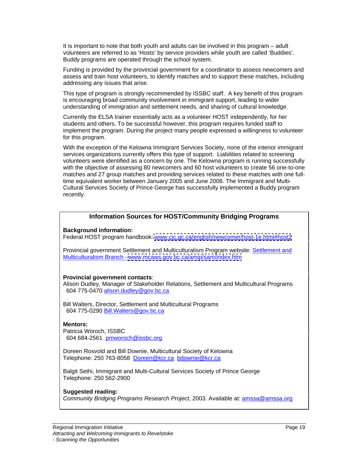It is important to note that both youth and adults can be involved in this program – adult volunteers are referred to as 'Hosts' by service providers while youth are called 'Buddies'. Buddy programs are operated through the school system.

Funding is provided by the provincial government for a coordinator to assess newcomers and assess and train host volunteers, to identify matches and to support these matches, including addressing any issues that arise.

This type of program is strongly recommended by ISSBC staff. A key benefit of this program is encouraging broad community involvement in immigrant support, leading to wider understanding of immigration and settlement needs, and sharing of cultural knowledge.

Currently the ELSA trainer essentially acts as a volunteer HOST independently, for her students and others. To be successful however, this program requires funded staff to implement the program. During the project many people expressed a willingness to volunteer for this program.

With the exception of the Kelowna Immigrant Services Society, none of the interior immigrant services organizations currently offers this type of support. Liabilities related to screening volunteers were identified as a concern by one. The Kelowna program is running successfully with the objective of assessing 80 newcomers and 60 host volunteers to create 56 one-to-one matches and 27 group matches and providing services related to these matches with one fulltime equivalent worker between January 2005 and June 2006. The Immigrant and Multi- Cultural Services Society of Prince George has successfully implemented a Buddy program recently. The contract of the contract of the contract of the contract of the contract of the contract of the contract of the contract of the contract of the contract of the contract of the contract of the contract of the

### **Information Sources for HOST/Community Bridging Programs**

**Background information:**

Federal HOST program handbook: [www.cic.gc.ca/english/newcomer/host-1e.html#host2](http://www.cic.gc.ca/english/newcomer/host-1e.html#host2)

Provincial government Settlement and Multiculturalism Program website: Settlement and Multiculturalism Branch - [www.mcaws.gov.bc.ca/amip/sam/index.htm](http://www.mcaws.gov.bc.ca/amip/sam/index.htm)

#### **Provincial government contacts**:

Alison Dudley, Manager of Stakeholder Relations, Settlement and Multicultural Programs 604 775-0470 alison.dudley@gov.bc.ca

Bill Walters, Director, Settlement and Multicultural Programs 604 775-0290 Bill.Walters@gov.bc.ca

#### **Mentors:**

Patricia Woroch, ISSBC 604 684-2561 pmworoch@issbc.org

Doreen Rosvold and Bill Downie, Multicultural Society of Kelowna Telephone: 250 763-8058 Doreen@kcr.ca bdownie@kcr.ca

Balgit Sethi, Immigrant and Multi-Cultural Services Society of Prince George Telephone: 250 562-2900

#### **Suggested reading:**

Community Bridging Programs Research Project, 2003. Available at: amssa@amssa.org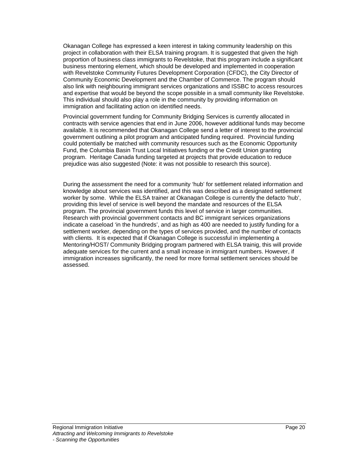Okanagan College has expressed a keen interest in taking community leadership on this project in collaboration with their ELSA training program. It is suggested that given the high proportion of business class immigrants to Revelstoke, that this program include a significant business mentoring element, which should be developed and implemented in cooperation with Revelstoke Community Futures Development Corporation (CFDC), the City Director of Community Economic Development and the Chamber of Commerce. The program should also link with neighbouring immigrant services organizations and ISSBC to access resources<br>and expertise that would be beyond the scope possible in a small community like Revelstoke. This individual should also play a role in the community by providing information on immigration and facilitating action on identified needs.

Provincial government funding for Community Bridging Services is currently allocated in contracts with service agencies that end in June 2006, however additional funds may become available. It is recommended that Okanagan College send a letter of interest to the provincial government outlining a pilot program and anticipated funding required. Provincial funding could potentially be matched with community resources such as the Economic Opportunity Fund, the Columbia Basin Trust Local Initiatives funding or the Credit Union granting program. Heritage Canada funding targeted at projects that provide education to reduce prejudice was also suggested (Note: it was not possible to research this source).

During the assessment the need for a community 'hub' for settlement related information and knowledge about services was identified, and this was described as a designated settlement worker by some. While the ELSA trainer at Okanagan College is currently the defacto 'hub', providing this level of service is well beyond the mandate and resources of the ELSA program. The provincial government funds this level of service in larger communities.<br>Research with provincial government contacts and BC immigrant services organizations indicate a caseload 'in the hundreds', and as high as 400 are needed to justify funding for a settlement worker, depending on the types of services provided, and the number of contacts with clients. It is expected that if Okanagan College is successful in implementing a Mentoring/HOST/ Community Bridging program partnered with ELSA trainig, this will provide adequate services for the current and a small increase in immigrant numbers. However, if immigration increases significantly, the need for more formal settlement services should be assessed.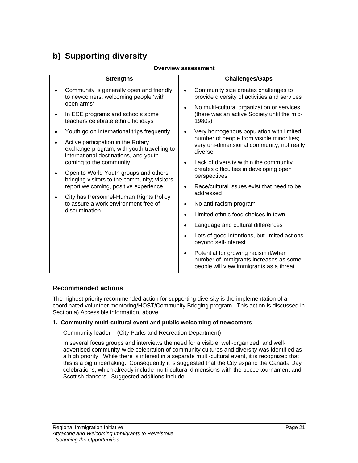## **b) Supporting diversity**

#### **Overview assessment**

| <b>Strengths</b>                                                                                                                  | <b>Challenges/Gaps</b>                                                                                                    |
|-----------------------------------------------------------------------------------------------------------------------------------|---------------------------------------------------------------------------------------------------------------------------|
| Community is generally open and friendly<br>to newcomers, welcoming people 'with                                                  | Community size creates challenges to<br>provide diversity of activities and services                                      |
| open arms'                                                                                                                        | • No multi-cultural organization or services                                                                              |
| In ECE programs and schools some<br>teachers celebrate ethnic holidays                                                            | (there was an active Society until the mid-<br>1980s)                                                                     |
| Youth go on international trips frequently                                                                                        | Very homogenous population with limited                                                                                   |
| Active participation in the Rotary<br>exchange program, with youth travelling to $\vert$<br>international destinations, and youth | number of people from visible minorities;<br>very uni-dimensional community; not really<br>diverse                        |
| coming to the community<br>Open to World Youth groups and others<br>bringing visitors to the community; visitors                  | Lack of diversity within the community<br>creates difficulties in developing open<br>perspectives                         |
| report welcoming, positive experience<br>City has Personnel-Human Rights Policy                                                   | Race/cultural issues exist that need to be<br>addressed                                                                   |
| to assure a work environment free of                                                                                              | • No anti-racism program                                                                                                  |
| discrimination                                                                                                                    | Limited ethnic food choices in town                                                                                       |
|                                                                                                                                   | Language and cultural differences                                                                                         |
|                                                                                                                                   | Lots of good intentions, but limited actions<br>beyond self-interest                                                      |
|                                                                                                                                   | Potential for growing racism if/when<br>number of immigrants increases as some<br>people will view immigrants as a threat |

### **Recommended actions**

The highest priority recommended action for supporting diversity is the implementation of a coordinated volunteer mentoring/HOST/Community Bridging program. This action is discussed in Section a) Accessible information, above.

#### **1. Community multi-cultural event and public welcoming of newcomers**

Community leader – (City Parks and Recreation Department)

In several focus groups and interviews the need for a visible, well-organized, and well advertised community-wide celebration of community cultures and diversity was identified as a high priority. While there is interest in a separate multi-cultural event, it is recognized that this is a big undertaking. Consequently it is suggested that the City expand the Canada Day celebrations, which already include multi-cultural dimensions with the bocce tournament and Scottish dancers. Suggested additions include: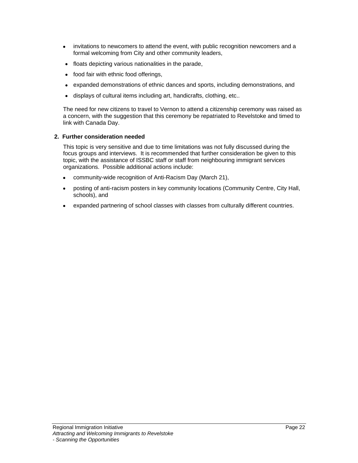- invitations to newcomers to attend the event, with public recognition newcomers and a formal welcoming from City and other community leaders,
- floats depicting various nationalities in the parade,
- food fair with ethnic food offerings,
- expanded demonstrations of ethnic dances and sports, including demonstrations, and  $\bullet$
- $\bullet$ displays of cultural items including art, handicrafts, clothing, etc..

The need for new citizens to travel to Vernon to attend a citizenship ceremony was raised as a concern, with the suggestion that this ceremony be repatriated to Revelstoke and timed to link with Canada Day.

#### **2. Further consideration needed**

This topic is very sensitive and due to time limitations was not fully discussed during the focus groups and interviews. It is recommended that further consideration be given to this topic, with the assistance of ISSBC staff or staff from neighbouring immigrant services organizations. Possible additional actions include:

- community-wide recognition of Anti-Racism Day (March 21),  $\bullet$
- posting of anti-racism posters in key community locations (Community Centre, City Hall,  $\bullet$  . schools), and
- expanded partnering of school classes with classes from culturally different countries. $\bullet$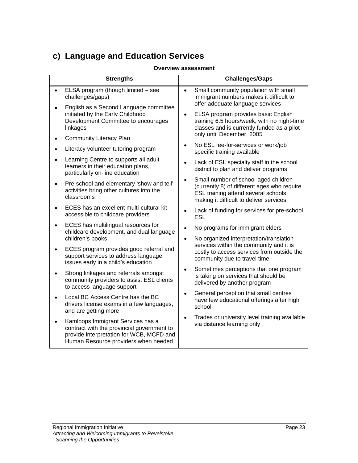## **c) Language and Education Services**

### **Overview assessment**

| <b>Strengths</b>                                                                                                              | <b>Challenges/Gaps</b>                                                                                                                                                |
|-------------------------------------------------------------------------------------------------------------------------------|-----------------------------------------------------------------------------------------------------------------------------------------------------------------------|
| ELSA program (though limited - see<br>challenges/gaps)                                                                        | Small community population with small<br>immigrant numbers makes it difficult to<br>offer adequate language services                                                  |
| English as a Second Language committee<br>initiated by the Early Childhood<br>Development Committee to encourages<br>linkages | <b>ELSA program provides basic English</b><br>training 6.5 hours/week, with no night-time<br>classes and is currently funded as a pilot                               |
| <b>Community Literacy Plan</b>                                                                                                | only until December, 2005                                                                                                                                             |
| Literacy volunteer tutoring program                                                                                           | No ESL fee-for-services or work/job<br>specific training available                                                                                                    |
| Learning Centre to supports all adult<br>learners in their education plans,<br>particularly on-line education                 | Lack of ESL specialty staff in the school<br>district to plan and deliver programs                                                                                    |
| Pre-school and elementary 'show and tell'<br>activities bring other cultures into the<br>classrooms                           | Small number of school-aged children<br>(currently 8) of different ages who require<br>ESL training attend several schools<br>making it difficult to deliver services |
| ECES has an excellent multi-cultural kit<br>accessible to childcare providers                                                 | Lack of funding for services for pre-school<br>ESL                                                                                                                    |
| ECES has multilingual resources for<br>childcare development, and dual language                                               | No programs for immigrant elders                                                                                                                                      |
| children's books<br>ECES program provides good referral and                                                                   | • No organized interpretation/translation<br>services within the community and it is                                                                                  |
| support services to address language<br>issues early in a child's education                                                   | costly to access services from outside the<br>community due to travel time                                                                                            |
| Strong linkages and referrals amongst<br>community providers to assist ESL clients<br>to access language support              | Sometimes perceptions that one program<br>is taking on services that should be<br>delivered by another program                                                        |
| Local BC Access Centre has the BC<br>drivers license exams in a few languages,<br>and are getting more                        | General perception that small centres<br>have few educational offerings after high<br>school                                                                          |
| Kamloops Immigrant Services has a<br>contract with the provincial government to<br>provide interpretation for WCB, MCFD and   | Trades or university level training available<br>via distance learning only                                                                                           |
| Human Resource providers when needed                                                                                          |                                                                                                                                                                       |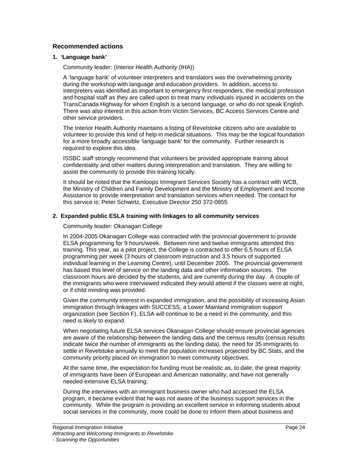### **Recommended actions**

#### **1. 'Language bank'**

Community leader: (Interior Health Authority (IHA))

A 'language bank' of volunteer interpreters and translators was the overwhelming priority during the workshop with language and education providers. In addition, access to interpreters was identified as important to emergency first responders, the medical profession and hospital staff as they are called upon to treat many individuals injured in accidents on the TransCanada Highway for whom English is a second language, or who do not speak English. There was also interest in this action from Victim Services, BC Access Services Centre and other service providers.

The Interior Health Authority maintains a listing of Revelstoke citizens who are available to volunteer to provide this kind of help in medical situations. This may be the logical foundation for a more broadly accessible 'language bank' for the community. Further research is required to explore this idea.

ISSBC staff strongly recommend that volunteers be provided appropriate training about confidentiality and other matters during interpretation and translation. They are willing to assist the community to provide this training locally.

It should be noted that the Kamloops Immigrant Services Society has a contract with WCB, the Ministry of Children and Family Development and the Ministry of Employment and Income Assistance to provide interpretation and translation services when needed. The contact for this service is: Peter Schwirtz, Executive Director 250 372-0855

#### **2. Expanded public ESLA training with linkages to all community services**

#### Community leader: Okanagan College

In 2004-2005 Okanagan College was contracted with the provincial government to provide ELSA programming for 9 hours/week. Between nine and twelve immigrants attended this training. This year, as a pilot project, the College is contracted to offer 6.5 hours of ELSA programming per week (3 hours of classroom instruction and 3.5 hours of supported individual learning in the Learning Centre), until December 2005. The provincial government has based this level of service on the landing data and other information sources. The classroom hours are decided by the students, and are currently during the day. A couple of the immigrants who were interviewed indicated they would attend if the classes were at night, or if child minding was provided.

Given the community interest in expanded immigration, and the possibility of increasing Asian immigration through linkages with SUCCESS, a Lower Mainland immigration support organization (see Section F), ELSA will continue to be a need in the community, and this need is likely to expand.

When negotiating future ELSA services Okanagan College should ensure provincial agencies are aware of the relationship between the landing data and the census results (census results indicate twice the number of immigrants as the landing data), the need for 35 immigrants to settle in Revelstoke annually to meet the population increases projected by BC Stats, and the community priority placed on immigration to meet community objectives.

At the same time, the expectation for funding must be realistic as, to date, the great majority of immigrants have been of European and American nationality, and have not generally needed extensive ELSA training.

During the interviews with an immigrant business owner who had accessed the ELSA program, it became evident that he was not aware of the business support services in the community. While the program is providing an excellent service in informing students about social services in the community, more could be done to inform them about business and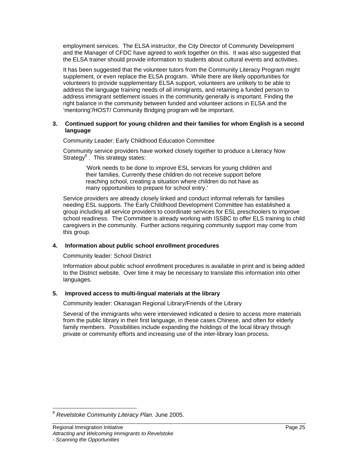employment services. The ELSA instructor, the City Director of Community Development and the Manager of CFDC have agreed to work together on this. It was also suggested that the ELSA trainer should provide information to students about cultural events and activities.

It has been suggested that the volunteer tutors from the Community Literacy Program might supplement, or even replace the ELSA program. While there are likely opportunities for volunteers to provide supplementary ELSA support, volunteers are unlikely to be able to address the language training needs of all immigrants, and retaining a funded person to address immigrant settlement issues in the community generally is important. Finding the right balance in the community between funded and volunteer actions in ELSA and the 'mentoring'/HOST/ Community Bridging program will be important.

#### **3. Continued support for young children and their families for whom English is a second language**

Community Leader: Early Childhood Education Committee

Community service providers have worked closely together to produce a Literacy Now Strategy<sup>8</sup>. This strategy states: example of the strategy states:

'Work needs to be done to improve ESL services for young children and their families. Currently these children do not receive support before reaching school, creating a situation where children do not have as

many opportunities to prepare for school entry.' Service providers are already closely linked and conduct informal referrals for families needing ESL supports. The Early Childhood Development Committee has established a group including all service providers to coordinate services for ESL preschoolers to improve school readiness. The Committee is already working with ISSBC to offer ELS training to child caregivers in the community. Further actions requiring community support may come from this group.

### **4. Information about public school enrollment procedures**

Community leader: School District

Information about public school enrollment procedures is available in print and is being added to the District website. Over time it may be necessary to translate this information into other languages. The contract of the contract of the contract of the contract of the contract of the contract of the contract of the contract of the contract of the contract of the contract of the contract of the contract of the

#### **5. Improved access to multi-lingual materials at the library**

Community leader: Okanagan Regional Library/Friends of the Library

Several of the immigrants who were interviewed indicated a desire to access more materials from the public library in their first language, in these cases Chinese, and often for elderly family members. Possibilities include expanding the holdings of the local library through private or community efforts and increasing use of the inter-library loan process.

<sup>&</sup>lt;sup>8</sup> Revelstoke Community Literacy Plan. June 2005.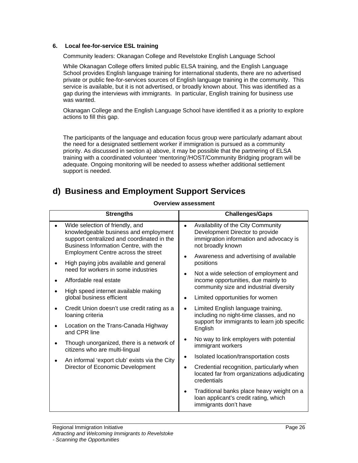#### **6. Local fee-for-service ESL training**

Community leaders: Okanagan College and Revelstoke English Language School

While Okanagan College offers limited public ELSA training, and the English Language School provides English language training for international students, there are no advertised private or public fee-for-services sources of English language training in the community. This service is available, but it is not advertised, or broadly known about. This was identified as a gap during the interviews with immigrants. In particular, English training for business use was wanted.

Okanagan College and the English Language School have identified it as a priority to explore actions to fill this gap.

The participants of the language and education focus group were particularly adamant about the need for a designated settlement worker if immigration is pursued as a community priority. As discussed in section a) above, it may be possible that the partnering of ELSA training with a coordinated volunteer 'mentoring'/HOST/Community Bridging program will be adequate. Ongoing monitoring will be needed to assess whether additional settlement support is needed.

## **d) Business and Employment Support Services**

#### **Overview assessment**

| <b>Strengths</b>                                                                                                                                                                                                                                                                                                                                                  | <b>Challenges/Gaps</b>                                                                                                                                                                                                                                                                                                         |
|-------------------------------------------------------------------------------------------------------------------------------------------------------------------------------------------------------------------------------------------------------------------------------------------------------------------------------------------------------------------|--------------------------------------------------------------------------------------------------------------------------------------------------------------------------------------------------------------------------------------------------------------------------------------------------------------------------------|
| • Wide selection of friendly, and<br>knowledgeable business and employment<br>support centralized and coordinated in the<br>Business Information Centre, with the<br>Employment Centre across the street<br>• High paying jobs available and general<br>need for workers in some industries<br>• Affordable real estate<br>• High speed internet available making | • Availability of the City Community<br>Development Director to provide<br>immigration information and advocacy is<br>not broadly known<br>• Awareness and advertising of available<br>positions<br>• Not a wide selection of employment and<br>income opportunities, due mainly to<br>community size and industrial diversity |
| global business efficient                                                                                                                                                                                                                                                                                                                                         | • Limited opportunities for women                                                                                                                                                                                                                                                                                              |
| • Credit Union doesn't use credit rating as a<br>loaning criteria<br>• Location on the Trans-Canada Highway<br>and CPR line                                                                                                                                                                                                                                       | Limited English language training,<br>including no night-time classes, and no<br>support for immigrants to learn job specific<br>English                                                                                                                                                                                       |
| • Though unorganized, there is a network of<br>citizens who are multi-lingual                                                                                                                                                                                                                                                                                     | • No way to link employers with potential<br>immigrant workers                                                                                                                                                                                                                                                                 |
| • An informal 'export club' exists via the City<br>Director of Economic Development                                                                                                                                                                                                                                                                               | Isolated location/transportation costs<br>• Credential recognition, particularly when<br>located far from organizations adjudicating<br>credentials                                                                                                                                                                            |
|                                                                                                                                                                                                                                                                                                                                                                   | • Traditional banks place heavy weight on a<br>loan applicant's credit rating, which<br>immigrants don't have                                                                                                                                                                                                                  |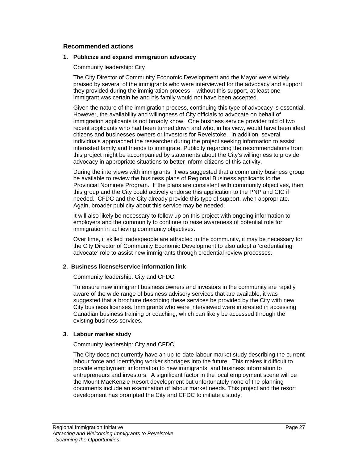#### **Recommended actions**

#### **1. Publicize and expand immigration advocacy**

Community leadership: City

The City Director of Community Economic Development and the Mayor were widely praised by several of the immigrants who were interviewed for the advocacy and support they provided during the immigration process – without this support, at least one immigrant was certain he and his family would not have been accepted.

Given the nature of the immigration process, continuing this type of advocacy is essential. However, the availability and willingness of City officials to advocate on behalf of immigration applicants is not broadly know. One business service provider told of two recent applicants who had been turned down and who, in his view, would have been ideal citizens and businesses owners or investors for Revelstoke. In addition, several individuals approached the researcher during the project seeking information to assist interested family and friends to immigrate. Publicity regarding the recommendations from this project might be accompanied by statements about the City's willingness to provide advocacy in appropriate situations to better inform citizens of this activity.

During the interviews with immigrants, it was suggested that a community business group be available to review the business plans of Regional Business applicants to the Provincial Nominee Program. If the plans are consistent with community objectives, then this group and the City could actively endorse this application to the PNP and CIC if needed. CFDC and the City already provide this type of support, when appropriate. Again, broader publicity about this service may be needed.

It will also likely be necessary to follow up on this project with ongoing information to employers and the community to continue to raise awareness of potential role for immigration in achieving community objectives.

Over time, if skilled tradespeople are attracted to the community, it may be necessary for the City Director of Community Economic Development to also adopt a 'credentialing advocate' role to assist new immigrants through credential review processes.

### **2. Business license/service information link**

Community leadership: City and CFDC

To ensure new immigrant business owners and investors in the community are rapidly aware of the wide range of business advisory services that are available, it was suggested that a brochure describing these services be provided by the City with new City business licenses. Immigrants who were interviewed were interested in accessing Canadian business training or coaching, which can likely be accessed through the existing business services.

### **3. Labour market study**

Community leadership: City and CFDC

The City does not currently have an up-to-date labour market study describing the current labour force and identifying worker shortages into the future. This makes it difficult to provide employment imformation to new immigrants, and business information to entrepreneurs and investors. A significant factor in the local employment scene will be the Mount MacKenzie Resort development but unfortunately none of the planning documents include an examination of labour market needs. This project and the resort development has prompted the City and CFDC to initiate a study.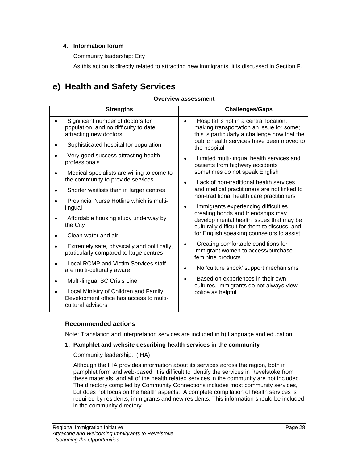### **4. Information forum**

Community leadership: City

As this action is directly related to attracting new immigrants, it is discussed in Section F.

## **e) Health and Safety Services**

### **Overview assessment**

|                        | <b>Strengths</b>                                                                      | <b>Challenges/Gaps</b>                                                                                                              |
|------------------------|---------------------------------------------------------------------------------------|-------------------------------------------------------------------------------------------------------------------------------------|
| attracting new doctors | Significant number of doctors for<br>population, and no difficulty to date            | Hospital is not in a central location,<br>making transportation an issue for some;<br>this is particularly a challenge now that the |
|                        | Sophisticated hospital for population                                                 | public health services have been moved to<br>the hospital                                                                           |
| professionals          | • Very good success attracting health                                                 | Limited multi-lingual health services and<br>patients from highway accidents                                                        |
|                        | Medical specialists are willing to come to<br>the community to provide services       | sometimes do not speak English<br>Lack of non-traditional health services                                                           |
|                        | Shorter waitlists than in larger centres                                              | and medical practitioners are not linked to<br>non-traditional health care practitioners                                            |
| lingual                | Provincial Nurse Hotline which is multi-                                              | Immigrants experiencing difficulties<br>creating bonds and friendships may                                                          |
| the City               | Affordable housing study underway by                                                  | develop mental health issues that may be<br>culturally difficult for them to discuss, and                                           |
| • Clean water and air  |                                                                                       | for English speaking counselors to assist                                                                                           |
|                        | Extremely safe, physically and politically,<br>particularly compared to large centres | Creating comfortable conditions for<br>immigrant women to access/purchase<br>feminine products                                      |
|                        | • Local RCMP and Victim Services staff<br>are multi-culturally aware                  | No 'culture shock' support mechanisms                                                                                               |
|                        | • Multi-lingual BC Crisis Line                                                        | Based on experiences in their own<br>cultures, immigrants do not always view                                                        |
| cultural advisors      | Local Ministry of Children and Family<br>Development office has access to multi-      | police as helpful                                                                                                                   |

### **Recommended actions**

Note: Translation and interpretation services are included in b) Language and education

### **1. Pamphlet and website describing health services in the community**

### Community leadership: (IHA)

Although the IHA provides information about its services across the region, both in pamphlet form and web-based, it is difficult to identify the services in Revelstoke from these materials, and all of the health related services in the community are not included. The directory compiled by Community Connections includes most community services, but does not focus on the health aspects. A complete compilation of health services is required by residents, immigrants and new residents. This information should be included in the community directory.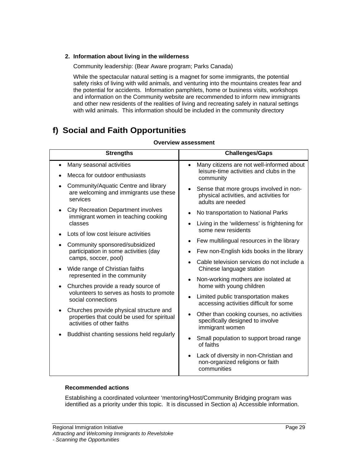### **2. Information about living in the wilderness**

Community leadership: (Bear Aware program; Parks Canada)

While the spectacular natural setting is a magnet for some immigrants, the potential safety risks of living with wild animals, and venturing into the mountains creates fear and the potential for accidents. Information pamphlets, home or business visits, workshops and information on the Community website are recommended to inform new immigrants and other new residents of the realities of living and recreating safely in natural settings with wild animals. This information should be included in the community directory

## **f) Social and Faith Opportunities**

| <b>Strengths</b>                                                                             | <b>Challenges/Gaps</b>                                                                                    |
|----------------------------------------------------------------------------------------------|-----------------------------------------------------------------------------------------------------------|
| • Many seasonal activities                                                                   | • Many citizens are not well-informed about                                                               |
| • Mecca for outdoor enthusiasts                                                              | leisure-time activities and clubs in the<br>community                                                     |
| • Community/Aquatic Centre and library<br>are welcoming and immigrants use these<br>services | • Sense that more groups involved in non-<br>physical activities, and activities for<br>adults are needed |
| • City Recreation Department involves<br>immigrant women in teaching cooking                 | • No transportation to National Parks                                                                     |
| classes                                                                                      | • Living in the 'wilderness' is frightening for                                                           |
| • Lots of low cost leisure activities                                                        | some new residents                                                                                        |
| • Community sponsored/subsidized                                                             | • Few multilingual resources in the library                                                               |
| participation in some activities (day<br>camps, soccer, pool)                                | • Few non-English kids books in the library                                                               |
| • Wide range of Christian faiths                                                             | • Cable television services do not include a<br>Chinese language station                                  |
| represented in the community                                                                 | • Non-working mothers are isolated at                                                                     |
| Churches provide a ready source of<br>volunteers to serves as hosts to promote               | home with young children                                                                                  |
| social connections                                                                           | • Limited public transportation makes<br>accessing activities difficult for some                          |
| Churches provide physical structure and<br>properties that could be used for spiritual       | • Other than cooking courses, no activities                                                               |
| activities of other faiths                                                                   | specifically designed to involve<br>immigrant women                                                       |
| • Buddhist chanting sessions held regularly                                                  | • Small population to support broad range                                                                 |
|                                                                                              | of faiths                                                                                                 |
|                                                                                              | • Lack of diversity in non-Christian and<br>non-organized religions or faith<br>communities               |

### **Overview assessment**

### **Recommended actions**

Establishing a coordinated volunteer 'mentoring/Host/Community Bridging program was identified as a priority under this topic. It is discussed in Section a) Accessible information.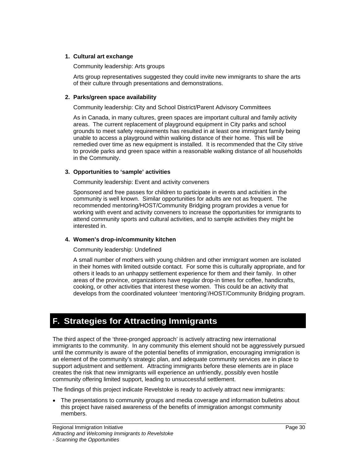### **1. Cultural art exchange**

#### Community leadership: Arts groups

Arts group representatives suggested they could invite new immigrants to share the arts of their culture through presentations and demonstrations.

#### **2. Parks/green space availability**

Community leadership: City and School District/Parent Advisory Committees

As in Canada, in many cultures, green spaces are important cultural and family activity areas. The current replacement of playground equipment in City parks and school grounds to meet safety requirements has resulted in at least one immigrant family being unable to access a playground within walking distance of their home. This will be remedied over time as new equipment is installed. It is recommended that the City strive to provide parks and green space within a reasonable walking distance of all households in the Community.

#### **3. Opportunities to 'sample' activities**

Community leadership: Event and activity conveners

Sponsored and free passes for children to participate in events and activities in the community is well known. Similar opportunities for adults are not as frequent. The recommended mentoring/HOST/Community Bridging program provides a venue for working with event and activity conveners to increase the opportunities for immigrants to attend community sports and cultural activities, and to sample activities they might be interested in.

#### **4. Women's drop-in/community kitchen**

Community leadership: Undefined

A small number of mothers with young children and other immigrant women are isolated in their homes with limited outside contact. For some this is culturally appropriate, and for others it leads to an unhappy settlement experience for them and their family. In other areas of the province, organizations have regular drop-in times for coffee, handicrafts, cooking, or other activities that interest these women. This could be an activity that develops from the coordinated volunteer 'mentoring'/HOST/Community Bridging program.

## **F. Strategies for Attracting Immigrants**

The third aspect of the 'three-pronged approach' is actively attracting new international immigrants to the community. In any community this element should not be aggressively pursued until the community is aware of the potential benefits of immigration, encouraging immigration is an element of the community's strategic plan, and adequate community services are in place to support adjustment and settlement. Attracting immigrants before these elements are in place creates the risk that new immigrants will experience an unfriendly, possibly even hostile community offering limited support, leading to unsuccessful settlement.

The findings of this project indicate Revelstoke is ready to actively attract new immigrants:

The presentations to community groups and media coverage and information bulletins about this project have raised awareness of the benefits of immigration amongst community members.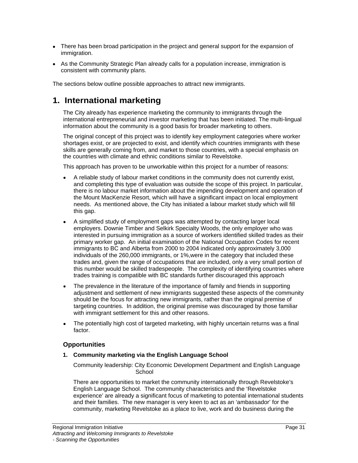- There has been broad participation in the project and general support for the expansion of immigration.
- As the Community Strategic Plan already calls for a population increase, immigration is consistent with community plans.

The sections below outline possible approaches to attract new immigrants.

## **1. International marketing**

The City already has experience marketing the community to immigrants through the international entrepreneurial and investor marketing that has been initiated. The multi-lingual information about the community is a good basis for broader marketing to others.

The original concept of this project was to identify key employment categories where worker shortages exist, or are projected to exist, and identify which countries immigrants with these skills are generally coming from, and market to those countries, with a special emphasis on the countries with climate and ethnic conditions similar to Revelstoke.

This approach has proven to be unworkable within this project for a number of reasons:

- A reliable study of labour market conditions in the community does not currently exist, and completing this type of evaluation was outside the scope of this project. In particular, there is no labour market information about the impending development and operation of the Mount MacKenzie Resort, which will have a significant impact on local employment needs. As mentioned above, the City has initiated a labour market study which will fill this gap. The contract of the contract of the contract of the contract of the contract of the contract of the contract of the contract of the contract of the contract of the contract of the contract of the contract of the
- A simplified study of employment gaps was attempted by contacting larger local employers. Downie Timber and Selkirk Specialty Woods, the only employer who was interested in pursuing immigration as a source of workers identified skilled trades as their primary worker gap. An initial examination of the National Occupation Codes for recent immigrants to BC and Alberta from 2000 to 2004 indicated only approximately 3,000 individuals of the 260,000 immigrants, or 1%,were in the category that included these trades and, given the range of occupations that are included, only a very small portion of this number would be skilled tradespeople. The complexity of identifying countries where trades training is compatible with BC standards further discouraged this approach
- The prevalence in the literature of the importance of family and friends in supporting  $\bullet$ adjustment and settlement of new immigrants suggested these aspects of the community should be the focus for attracting new immigrants, rather than the original premise of targeting countries. In addition, the original premise was discouraged by those familiar with immigrant settlement for this and other reasons.
- $\bullet$ The potentially high cost of targeted marketing, with highly uncertain returns was a final factor. The contract of the contract of the contract of the contract of the contract of the contract of the contract of the contract of the contract of the contract of the contract of the contract of the contract of the co

### **Opportunities**

### **1. Community marketing via the English Language School**

Community leadership: City Economic Development Department and English Language School **School** (1999) and the second second second second second second second second second second second second second second second second second second second second second second second second second second second se

There are opportunities to market the community internationally through Revelstoke's English Language School. The community characteristics and the 'Revelstoke experience' are already a significant focus of marketing to potential international students and their families. The new manager is very keen to act as an 'ambassador' for the community, marketing Revelstoke as a place to live, work and do business during the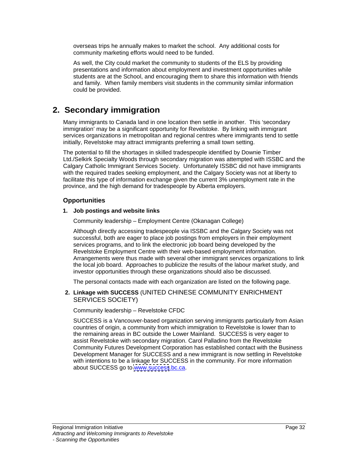overseas trips he annually makes to market the school. Any additional costs for community marketing efforts would need to be funded.

As well, the City could market the community to students of the ELS by providing presentations and information about employment and investment opportunities while students are at the School, and encouraging them to share this information with friends and family. When family members visit students in the community similar information could be provided.

## **2. Secondary immigration**

Many immigrants to Canada land in one location then settle in another. This 'secondary immigration' may be a significant opportunity for Revelstoke. By linking with immigrant services organizations in metropolitan and regional centres where immigrants tend to settle initially, Revelstoke may attract immigrants preferring a small town setting.

The potential to fill the shortages in skilled tradespeople identified by Downie Timber Ltd./Selkirk Specialty Woods through secondary migration was attempted with ISSBC and the Calgary Catholic Immigrant Services Society. Unfortunately ISSBC did not have immigrants with the required trades seeking employment, and the Calgary Society was not at liberty to facilitate this type of information exchange given the current 3% unemployment rate in the province, and the high demand for tradespeople by Alberta employers.

### **Opportunities**

#### **1. Job postings and website links**

Community leadership – Employment Centre (Okanagan College)

Although directly accessing tradespeople via ISSBC and the Calgary Society was not successful, both are eager to place job postings from employers in their employment services programs, and to link the electronic job board being developed by the Revelstoke Employment Centre with their web-based employment information. Arrangements were thus made with several other immigrant services organizations to link the local job board. Approaches to publicize the results of the labour market study, and investor opportunities through these organizations should also be discussed.

The personal contacts made with each organization are listed on the following page.

### **2. Linkage with SUCCESS** (UNITED CHINESE COMMUNITY ENRICHMENT SERVICES SOCIETY)

Community leadership – Revelstoke CFDC

SUCCESS is a Vancouver-based organization serving immigrants particularly from Asian countries of origin, a community from which immigration to Revelstoke is lower than to the remaining areas in BC outside the Lower Mainland. SUCCESS is very eager to assist Revelstoke with secondary migration. Carol Palladino from the Revelstoke Community Futures Development Corporation has established contact with the Business Development Manager for SUCCESS and a new immigrant is now settling in Revelstoke with intentions to be a linkage for SUCCESS in the community. For more information about SUCCESS go to [www.success](http://www.success).bc.ca.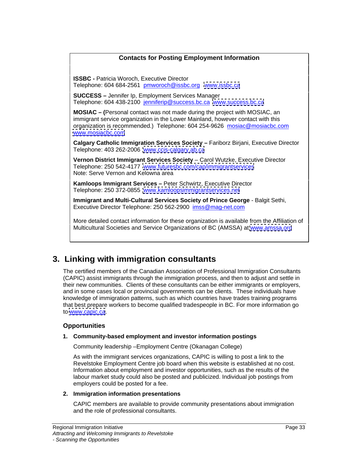## **Contacts for Posting Employment Information**

**ISSBC -** Patricia Woroch, Executive Director Telephone: 604 684-2561 pmworoch@issbc.org [www.issbc.ca](http://www.issbc.ca)

**SUCCESS –** Jennifer Ip, Employment Services Manager Telephone: 604 438-2100 jenniferip@success.bc.ca [www.success.bc.ca](http://www.success.bc.ca)

**MOSIAC – (**Personal contact was not made during the project with MOSIAC, an immigrant service organization in the Lower Mainland, however contact with this organization is recommended.) Telephone: 604 254-9626 mosiac@mosiacbc.com<br>[www.mosiacbc.com](http://www.mosiacbc.com)

**Calgary Catholic Immigration Services Society –** Fariborz Birjani, Executive Director Telephone: 403 262-2006 [www.ccis-calgary.ab.ca](http://www.ccis-calgary.ab.ca)

**Vernon District Immigrant Services Society** – Carol Wutzke, Executive Director Telephone: 250 542-4177 [www.futuresbc.com/cap/immigrantservices](http://www.futuresbc.com/cap/immigrantservices) Note: Serve Vernon and Kelowna area

**Kamloops Immigrant Services –** Peter Schwirtz, Executive Director Telephone: 250 372-0855 [www.kamloopsimmigrantservices.net](http://www.kamloopsimmigrantservices.net)

**Immigrant and Multi-Cultural Services Society of Prince George** - Balgit Sethi, Executive Director Telephone: 250 562-2900 imss@mag-net.com

More detailed contact information for these organization is available from the Affiliation of Multicultural Societies and Service Organizations of BC (AMSSA) at [www.amssa.org](http://www.amssa.org)

## **3. Linking with immigration consultants**

The certified members of the Canadian Association of Professional Immigration Consultants (CAPIC) assist immigrants through the immigration process, and then to adjust and settle in their new communities. Clients of these consultants can be either immigrants or employers, and in some cases local or provincial governments can be clients. These individuals have knowledge of immigration patterns, such as which countries have trades training programs that best prepare workers to become qualified tradespeople in BC. For more information go to [www.capic.ca](http://www.capic.ca).

### **Opportunities**

### **1. Community-based employment and investor information postings**

Community leadership –Employment Centre (Okanagan College)

As with the immigrant services organizations, CAPIC is willing to post a link to the Revelstoke Employment Centre job board when this website is established at no cost. Information about employment and investor opportunities, such as the results of the labour market study could also be posted and publicized. Individual job postings from employers could be posted for a fee.

#### **2. Immigration information presentations**

CAPIC members are available to provide community presentations about immigration and the role of professional consultants.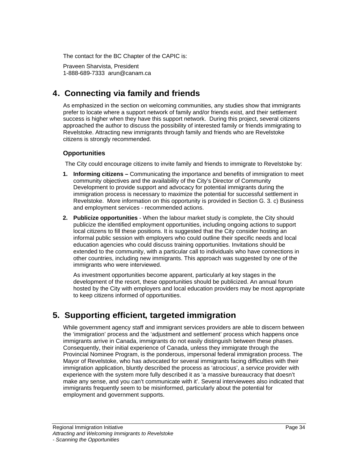The contact for the BC Chapter of the CAPIC is:

Praveen Sharvista, President 1-888-689-7333 arun@canam.ca

## **4. Connecting via family and friends**

As emphasized in the section on welcoming communities, any studies show that immigrants prefer to locate where a support network of family and/or friends exist, and their settlement success is higher when they have this support network. During this project, several citizens approached the author to discuss the possibility of interested family or friends immigrating to Revelstoke. Attracting new immigrants through family and friends who are Revelstoke citizens is strongly recommended.

### **Opportunities**

The City could encourage citizens to invite family and friends to immigrate to Revelstoke by:

- **1. Informing citizens –** Communicating the importance and benefits of immigration to meet community objectives and the availability of the City's Director of Community Development to provide support and advocacy for potential immigrants during the immigration process is necessary to maximize the potential for successful settlement in Revelstoke. More information on this opportunity is provided in Section G. 3. c) Business and employment services - recommended actions.
- **2. Publicize opportunities** When the labour market study is complete, the City should publicize the identified employment opportunities, including ongoing actions to support local citizens to fill these positions. It is suggested that the City consider hosting an informal public session with employers who could outline their specific needs and local education agencies who could discuss training opportunities. Invitations should be extended to the community, with a particular call to individuals who have connections in other countries, including new immigrants. This approach was suggested by one of the immigrants who were interviewed.

As investment opportunities become apparent, particularly at key stages in the development of the resort, these opportunities should be publicized. An annual forum hosted by the City with employers and local education providers may be most appropriate to keep citizens informed of opportunities.

## **5. Supporting efficient, targeted immigration**

While government agency staff and immigrant services providers are able to discern between the 'immigration' process and the 'adjustment and settlement' process which happens once immigrants arrive in Canada, immigrants do not easily distinguish between these phases.<br>Consequently, their initial experience of Canada, unless they immigrate through the Provincial Nominee Program, is the ponderous, impersonal federal immigration process. The Mayor of Revelstoke, who has advocated for several immigrants facing difficulties with their immigration application, bluntly described the process as 'atrocious', a service provider with experience with the system more fully described it as 'a massive bureaucracy that doesn't make any sense, and you can't communicate with it'. Several interviewees also indicated that immigrants frequently seem to be misinformed, particularly about the potential for employment and government supports.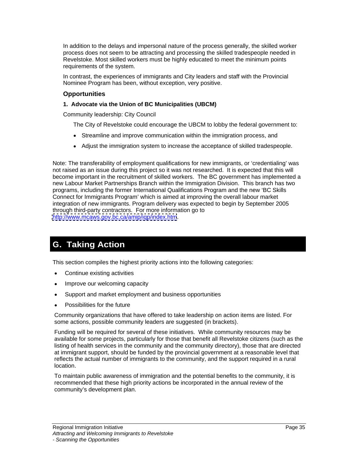In addition to the delays and impersonal nature of the process generally, the skilled worker process does not seem to be attracting and processing the skilled tradespeople needed in Revelstoke. Most skilled workers must be highly educated to meet the minimum points requirements of the system.

In contrast, the experiences of immigrants and City leaders and staff with the Provincial Nominee Program has been, without exception, very positive.

### **Opportunities**

#### **1. Advocate via the Union of BC Municipalities (UBCM)**

Community leadership: City Council

The City of Revelstoke could encourage the UBCM to lobby the federal government to:

- Streamline and improve communication within the immigration process, and
- Adjust the immigration system to increase the acceptance of skilled tradespeople.

Note: The transferability of employment qualifications for new immigrants, or 'credentialing' was not raised as an issue during this project so it was not researched. It is expected that this will become important in the recruitment of skilled workers. The BC government has implemented a new Labour Market Partnerships Branch within the Immigration Division. This branch has two programs, including the former International Qualifications Program and the new 'BC Skills Connect for Immigrants Program' which is aimed at improving the overall labour market integration of new immigrants. Program delivery was expected to begin by September 2005 through third-party contractors. For more information go to <http://www.mcaws.gov.bc.ca/amip/iqp/index.htm>.

## **G. Taking Action**

This section compiles the highest priority actions into the following categories:

- Continue existing activities
- $\bullet$ Improve our welcoming capacity
- Support and market employment and business opportunities  $\bullet$
- $\bullet$ Possibilities for the future

Community organizations that have offered to take leadership on action items are listed. For some actions, possible community leaders are suggested (in brackets).<br>Funding will be required for several of these initiatives. While community resources may be

available for some projects, particularly for those that benefit all Revelstoke citizens (such as the listing of health services in the community and the community directory), those that are directed at immigrant support, should be funded by the provincial government at a reasonable level that reflects the actual number of immigrants to the community, and the support required in a rural location. The contract of the contract of the contract of the contract of the contract of the contract of the contract of the contract of the contract of the contract of the contract of the contract of the contract of the

To maintain public awareness of immigration and the potential benefits to the community, it is recommended that these high priority actions be incorporated in the annual review of the community's development plan.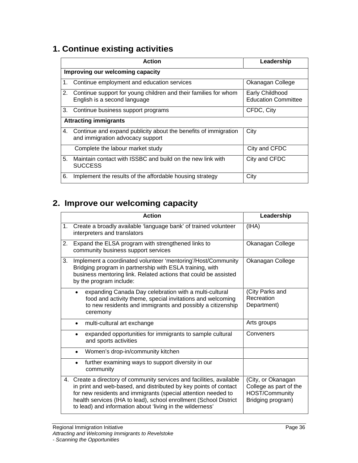## **1. Continue existing activities**

| <b>Action</b>                                                                                                   | Leadership                                           |
|-----------------------------------------------------------------------------------------------------------------|------------------------------------------------------|
| Improving our welcoming capacity                                                                                |                                                      |
| Continue employment and education services                                                                      | Okanagan College                                     |
| Continue support for young children and their families for whom<br>English is a second language                 | <b>Early Childhood</b><br><b>Education Committee</b> |
| Continue business support programs                                                                              | CFDC, City                                           |
| <b>Attracting immigrants</b>                                                                                    |                                                      |
| Continue and expand publicity about the benefits of immigration $\int$ City<br>and immigration advocacy support |                                                      |
| Complete the labour market study                                                                                | City and CFDC                                        |
| Maintain contact with ISSBC and build on the new link with<br><b>SUCCESS</b>                                    | City and CFDC                                        |
| Implement the results of the affordable housing strategy                                                        | City                                                 |

## **2. Improve our welcoming capacity**

| <b>Action</b>                                                                                                                                                                                                                                                                                                                                                              | Leadership                                               |
|----------------------------------------------------------------------------------------------------------------------------------------------------------------------------------------------------------------------------------------------------------------------------------------------------------------------------------------------------------------------------|----------------------------------------------------------|
| Create a broadly available 'language bank' of trained volunteer<br>interpreters and translators                                                                                                                                                                                                                                                                            | (HHA)                                                    |
| Expand the ELSA program with strengthened links to<br>community business support services                                                                                                                                                                                                                                                                                  | Okanagan College                                         |
| Implement a coordinated volunteer 'mentoring'/Host/Community   Okanagan College<br>Bridging program in partnership with ESLA training, with<br>business mentoring link. Related actions that could be assisted<br>by the program include:                                                                                                                                  |                                                          |
| expanding Canada Day celebration with a multi-cultural<br>food and activity theme, special invitations and welcoming<br>to new residents and immigrants and possibly a citizenship $\Box$ Department)<br>ceremony                                                                                                                                                          | (City Parks and<br>Recreation                            |
| • multi-cultural art exchange                                                                                                                                                                                                                                                                                                                                              | Arts groups                                              |
| expanded opportunities for immigrants to sample cultural<br>and sports activities                                                                                                                                                                                                                                                                                          | Conveners                                                |
| • Women's drop-in/community kitchen                                                                                                                                                                                                                                                                                                                                        |                                                          |
| • further examining ways to support diversity in our<br>community                                                                                                                                                                                                                                                                                                          |                                                          |
| 4. Create a directory of community services and facilities, available<br>in print and web-based, and distributed by key points of contact $\int$ College as part of the<br>for new residents and immigrants (special attention needed to<br>health services (IHA to lead), school enrollment (School District<br>to lead) and information about 'living in the wilderness' | City, or Okanagan<br>HOST/Community<br>Bridging program) |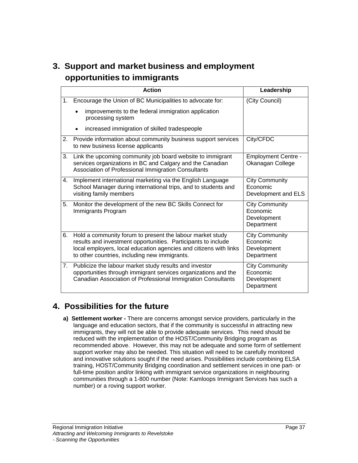## **3. Support and market business and employment opportunities to immigrants**

| <b>Action</b>                                                                                                                                                                                                                                                  | Leadership                                               |
|----------------------------------------------------------------------------------------------------------------------------------------------------------------------------------------------------------------------------------------------------------------|----------------------------------------------------------|
| Encourage the Union of BC Municipalities to advocate for:                                                                                                                                                                                                      | (City Council)                                           |
| • improvements to the federal immigration application<br>processing system                                                                                                                                                                                     |                                                          |
| • increased immigration of skilled tradespeople                                                                                                                                                                                                                |                                                          |
| Provide information about community business support services   City/CFDC<br>to new business license applicants                                                                                                                                                |                                                          |
| Link the upcoming community job board website to immigrant<br>services organizations in BC and Calgary and the Canadian<br>Association of Professional Immigration Consultants                                                                                 | <b>Employment Centre -</b><br><b>Okanagan College</b>    |
| Implement international marketing via the English Language<br>School Manager during international trips, and to students and<br>visiting family members                                                                                                        | <b>City Community</b><br>Economic<br>Development and ELS |
| Monitor the development of the new BC Skills Connect for<br>Immigrants Program                                                                                                                                                                                 | City Community<br>Economic<br>Development<br>Department  |
| Hold a community forum to present the labour market study<br>results and investment opportunities. Participants to include<br>local employers, local education agencies and citizens with links   Development<br>to other countries, including new immigrants. | City Community<br>Economic<br>  Department               |
| Publicize the labour market study results and investor<br>opportunities through immigrant services organizations and the<br>Canadian Association of Professional Immigration Consultants                                                                       | City Community<br>Economic<br>Development<br>Department  |

## **4. Possibilities for the future**

**a) Settlement worker -** There are concerns amongst service providers, particularly in the language and education sectors, that if the community is successful in attracting new immigrants, they will not be able to provide adequate services. This need should be reduced with the implementation of the HOST/Community Bridging program as recommended above. However, this may not be adequate and some form of settlement support worker may also be needed. This situation will need to be carefully monitored and innovative solutions sought if the need arises. Possibilities include combining ELSA training, HOST/Community Bridging coordination and settlement services in one part- or full-time position and/or linking with immigrant service organizations in neighbouring communities through a 1-800 number (Note: Kamloops Immigrant Services has such a number) or a roving support worker.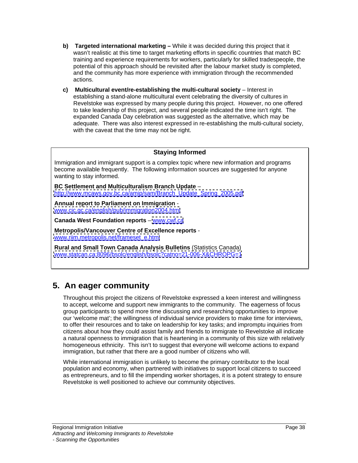- **b) Targeted international marketing –** While it was decided during this project that it wasn't realistic at this time to target marketing efforts in specific countries that match BC training and experience requirements for workers, particularly for skilled tradespeople, the potential of this approach should be revisited after the labour market study is completed, and the community has more experience with immigration through the recommended actions. The contract of the contract of the contract of the contract of the contract of the contract of the contract of the contract of the contract of the contract of the contract of the contract of the contract of the c
- **c) Multicultural event/re-establishing the multi-cultural society** Interest in establishing a stand-alone multicultural event celebrating the diversity of cultures in Revelstoke was expressed by many people during this project. However, no one offered to take leadership of this project, and several people indicated the time isn't right. The expanded Canada Day celebration was suggested as the alternative, which may be adequate. There was also interest expressed in re-establishing the multi-cultural society, with the caveat that the time may not be right.

### **Staying Informed**

Immigration and immigrant support is a complex topic where new information and programs become available frequently. The following information sources are suggested for anyone wanting to stay informed.

**BC Settlement and Multiculturalism Branch Update** – [http://www.mcaws.gov.bc.ca/amip/sam/Branch\\_Update\\_Spring\\_2005.pdf](http://www.mcaws.gov.bc.ca/amip/sam/Branch_Update_Spring_2005.pdf)

**Annual report to Parliament on Immigration** [www.cic.gc.ca/english/pub/immigration2004.html](http://www.cic.gc.ca/english/pub/immigration2004.html)

**Canada West Foundation reports** – [www.cwf.ca](http://www.cwf.ca)

**Metropolis/Vancouver Centre of Excellence reports** [www.riim.metropolis.net/frameset\\_e.html](http://www.riim.metropolis.net/frameset_e.html)

**Rural and Small Town Canada Analysis Bulletins** (Statistics Canada) [www.statcan.ca:8096/bsolc/english/bsolc?catno=21-006-X&CHROPG=1](http://www.statcan.ca:8096/bsolc/english/bsolc?catno=21-006-X&CHROPG=1)

## **5. An eager community**

Throughout this project the citizens of Revelstoke expressed a keen interest and willingness to accept, welcome and support new immigrants to the community. The eagerness of focus group participants to spend more time discussing and researching opportunities to improve our 'welcome mat'; the willingness of individual service providers to make time for interviews, to offer their resources and to take on leadership for key tasks; and impromptu inquiries from citizens about how they could assist family and friends to immigrate to Revelstoke all indicate a natural openness to immigration that is heartening in a community of this size with relatively homogeneous ethnicity. This isn't to suggest that everyone will welcome actions to expand

immigration, but rather that there are a good number of citizens who will. While international immigration is unlikely to become the primary contributor to the local population and economy, when partnered with initiatives to support local citizens to succeed as entrepreneurs, and to fill the impending worker shortages, it is a potent strategy to ensure Revelstoke is well positioned to achieve our community objectives.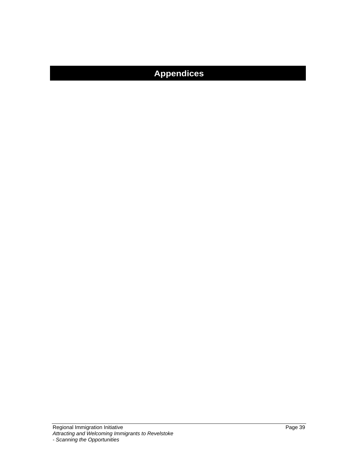## **Appendices**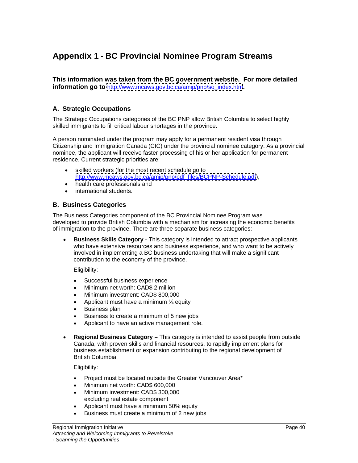## **Appendix 1 - BC Provincial Nominee Program Streams**

**This information was taken from the BC government website. For more detailed information go to** [http://www.mcaws.gov.bc.ca/amip/pnp/so\\_index.htm](http://www.mcaws.gov.bc.ca/amip/pnp/so_index.htm)**.**

### **A. Strategic Occupations**

The Strategic Occupations categories of the BC PNP allow British Columbia to select highly skilled immigrants to fill critical labour shortages in the province.

A person nominated under the program may apply for a permanent resident visa through Citizenship and Immigration Canada (CIC) under the provincial nominee category. As a provincial nominee, the applicant will receive faster processing of his or her application for permanent residence. Current strategic priorities are:

- skilled workers (for the most recent schedule go to [http://www.mcaws.gov.bc.ca/amip/pnp/pdf\\_files/BCPNP-Schedule.pdf](http://www.mcaws.gov.bc.ca/amip/pnp/pdf_files/BCPNP-Schedule.pdf)),
- health care professionals and
- international students.

### **B. Business Categories**

The Business Categories component of the BC Provincial Nominee Program was developed to provide British Columbia with a mechanism for increasing the economic benefits of immigration to the province. There are three separate business categories:

**Business Skills Category** - This category is intended to attract prospective applicants who have extensive resources and business experience, and who want to be actively involved in implementing a BC business undertaking that will make a significant contribution to the economy of the province.

Eligibility:

- Successful business experience  $\bullet$
- Minimum net worth: CAD\$ 2 million  $\bullet$
- $\bullet$ Minimum investment: CAD\$ 800,000
- $\bullet$ Applicant must have a minimum  $\frac{1}{3}$  equity
- Business plan  $\bullet$
- Business to create a minimum of 5 new jobs
- Applicant to have an active management role.  $\bullet$
- **Regional Business Category –** This category is intended to assist people from outside  $\bullet$ Canada, with proven skills and financial resources, to rapidly implement plans for business establishment or expansion contributing to the regional development of British Columbia.

Eligibility:

- $\bullet$ Project must be located outside the Greater Vancouver Area\*
- Minimum net worth: CAD\$ 600,000  $\bullet$
- Minimum investment: CAD\$ 300,000  $\bullet$ excluding real estate component
- Applicant must have a minimum 50% equity  $\bullet$
- Business must create a minimum of 2 new jobs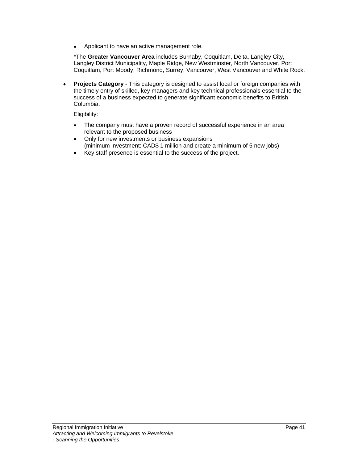Applicant to have an active management role.  $\bullet$ 

\*The **Greater Vancouver Area** includes Burnaby, Coquitlam, Delta, Langley City, Langley District Municipality, Maple Ridge, New Westminster, North Vancouver, Port Coquitlam, Port Moody, Richmond, Surrey, Vancouver, West Vancouver and White Rock.

**Projects Category** - This category is designed to assist local or foreign companies with  $\bullet$ the timely entry of skilled, key managers and key technical professionals essential to the success of a business expected to generate significant economic benefits to British Columbia.

Eligibility:

- $\bullet$ The company must have a proven record of successful experience in an area relevant to the proposed business
- Only for new investments or business expansions  $\bullet$ (minimum investment: CAD\$ 1 million and create a minimum of 5 new jobs)
- Key staff presence is essential to the success of the project. $\bullet$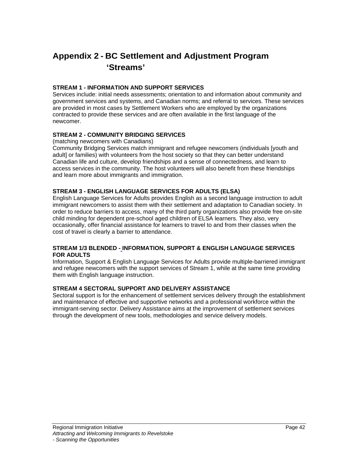## **Appendix 2 - BC Settlement and Adjustment Program 'Streams'**

#### **STREAM 1 - INFORMATION AND SUPPORT SERVICES**

Services include: initial needs assessments; orientation to and information about community and government services and systems, and Canadian norms; and referral to services. These services are provided in most cases by Settlement Workers who are employed by the organizations contracted to provide these services and are often available in the first language of the newcomer.

#### **STREAM 2 - COMMUNITY BRIDGING SERVICES**

(matching newcomers with Canadians)

Community Bridging Services match immigrant and refugee newcomers (individuals [youth and adult] or families) with volunteers from the host society so that they can better understand Canadian life and culture, develop friendships and a sense of connectedness, and learn to access services in the community. The host volunteers will also benefit from these friendships and learn more about immigrants and immigration.

#### **STREAM 3 - ENGLISH LANGUAGE SERVICES FOR ADULTS (ELSA)**

English Language Services for Adults provides English as a second language instruction to adult immigrant newcomers to assist them with their settlement and adaptation to Canadian society. In order to reduce barriers to access, many of the third party organizations also provide free on-site child minding for dependent pre-school aged children of ELSA learners. They also, very occasionally, offer financial assistance for learners to travel to and from their classes when the cost of travel is clearly a barrier to attendance.

#### **STREAM 1/3 BLENDED - INFORMATION, SUPPORT & ENGLISH LANGUAGE SERVICES FOR ADULTS**

Information, Support & English Language Services for Adults provide multiple-barriered immigrant and refugee newcomers with the support services of Stream 1, while at the same time providing them with English language instruction.

#### **STREAM 4 SECTORAL SUPPORT AND DELIVERY ASSISTANCE**

Sectoral support is for the enhancement of settlement services delivery through the establishment and maintenance of effective and supportive networks and a professional workforce within the immigrant-serving sector. Delivery Assistance aims at the improvement of settlement services through the development of new tools, methodologies and service delivery models.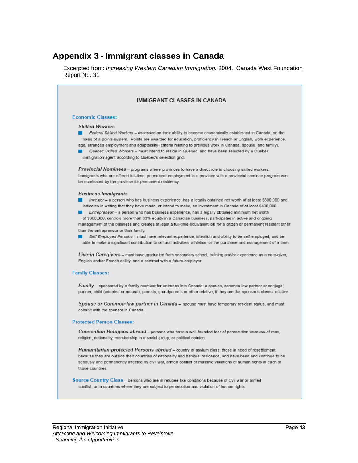## **Appendix 3 - Immigrant classes in Canada**

Excerpted from: Increasing Western Canadian Immigration. 2004. Canada West Foundation Report No. 31

| <b>IMMIGRANT CLASSES IN CANADA</b>                                                                                                                                                                                                                                                                                                                                                                                                                                                                                                                                                                                                                                                                                                                                                                                                                                        |
|---------------------------------------------------------------------------------------------------------------------------------------------------------------------------------------------------------------------------------------------------------------------------------------------------------------------------------------------------------------------------------------------------------------------------------------------------------------------------------------------------------------------------------------------------------------------------------------------------------------------------------------------------------------------------------------------------------------------------------------------------------------------------------------------------------------------------------------------------------------------------|
| <b>Economic Classes:</b>                                                                                                                                                                                                                                                                                                                                                                                                                                                                                                                                                                                                                                                                                                                                                                                                                                                  |
| <b>Skilled Workers</b><br>Federal Skilled Workers - assessed on their ability to become economically established in Canada, on the<br>basis of a points system. Points are awarded for education, proficiency in French or English, work experience,<br>age, arranged employment and adaptability (criteria relating to previous work in Canada, spouse, and family).<br>Quebec Skilled Workers - must intend to reside in Quebec, and have been selected by a Quebec<br>immigration agent according to Quebec's selection grid.                                                                                                                                                                                                                                                                                                                                          |
| Provincial Nominees - programs where provinces to have a direct role in choosing skilled workers.<br>Immigrants who are offered full-time, permanent employment in a province with a provincial nominee program can<br>be nominated by the province for permanent residency.                                                                                                                                                                                                                                                                                                                                                                                                                                                                                                                                                                                              |
| <b>Business Immigrants</b><br>Investor - a person who has business experience, has a legally obtained net worth of at least \$800,000 and<br>indicates in writing that they have made, or intend to make, an investment in Canada of at least \$400,000.<br>Entrepreneur - a person who has business experience, has a legally obtained minimum net worth<br>of \$300,000, controls more than 33% equity in a Canadian business, participates in active and ongoing<br>management of the business and creates at least a full-time equivalent job for a citizen or permanent resident other<br>than the entrepreneur or their family.<br>Self-Employed Persons - must have relevant experience, intention and ability to be self-employed, and be<br>able to make a significant contribution to cultural activities, athletics, or the purchase and management of a farm. |
| Live-in Caregivers – must have graduated from secondary school, training and/or experience as a care-giver,<br>English and/or French ability, and a contract with a future employer.                                                                                                                                                                                                                                                                                                                                                                                                                                                                                                                                                                                                                                                                                      |
| <b>Family Classes:</b>                                                                                                                                                                                                                                                                                                                                                                                                                                                                                                                                                                                                                                                                                                                                                                                                                                                    |
| Family – sponsored by a family member for entrance into Canada: a spouse, common-law partner or conjugal<br>partner, child (adopted or natural), parents, grandparents or other relative, if they are the sponsor's closest relative.                                                                                                                                                                                                                                                                                                                                                                                                                                                                                                                                                                                                                                     |
| Spouse or Common-law partner in Canada - spouse must have temporary resident status, and must<br>cohabit with the sponsor in Canada.                                                                                                                                                                                                                                                                                                                                                                                                                                                                                                                                                                                                                                                                                                                                      |
| <b>Protected Person Classes:</b>                                                                                                                                                                                                                                                                                                                                                                                                                                                                                                                                                                                                                                                                                                                                                                                                                                          |
| Convention Refugees abroad - persons who have a well-founded fear of persecution because of race,<br>religion, nationality, membership in a social group, or political opinion.                                                                                                                                                                                                                                                                                                                                                                                                                                                                                                                                                                                                                                                                                           |
| Humanitarian-protected Persons abroad - country of asylum class: those in need of resettlement<br>because they are outside their countries of nationality and habitual residence, and have been and continue to be<br>seriously and permanently affected by civil war, armed conflict or massive violations of human rights in each of<br>those countries.                                                                                                                                                                                                                                                                                                                                                                                                                                                                                                                |
| Source Country Class – persons who are in refugee-like conditions because of civil war or armed<br>conflict, or in countries where they are subject to persecution and violation of human rights.                                                                                                                                                                                                                                                                                                                                                                                                                                                                                                                                                                                                                                                                         |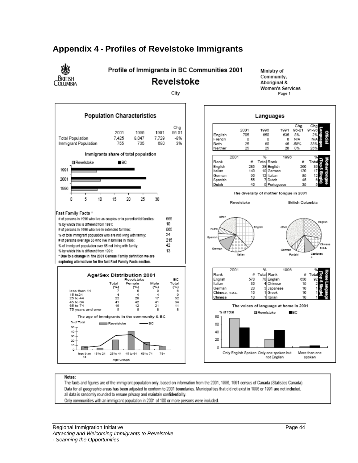

## **Appendix 4 - Profiles of Revelstoke Immigrants**

Notes:

The facts and figures are of the immigrant population only, based on information from the 2001, 1996, 1991 census of Canada (Statistics Canada). Data for all geographic areas has been adjusted to conform to 2001 boundaries. Municipalities that did not exist in 1996 or 1991 are not included. all data is randomly rounded to ensure privacy and maintain confidentiality. Only communities with an immigrant population in 2001 of 100 or more persons were included.

Regional Immigration Initiative Page 44 Attracting and Welcoming Immigrants to Revelstoke - Scanning the Opportunities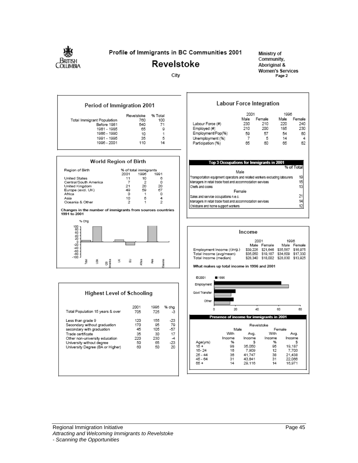

### Profile of Immigrants in BC Communities 2001

## **Revelstoke**

City

Ministry of Community, Aboriginal & **Women's Services** Page 2







|                                  | 2001 | 1996 | % chg |
|----------------------------------|------|------|-------|
| Total Population 15 years & over | 705  | 725  |       |
| Less than grade 9                | 120  | 155  | -23   |
| Secondary without graduation     | 170  | 95   | 79    |
| secondary with graduation        | 45   | 105  | -57   |
| Trade certificate                | 35   | 30   |       |
| Other non-university education   | 220  | 230  |       |
| University without degree        | 50   | 65   | $-23$ |
| University Degree (BA or Higher) | 60   | 50   | 20    |

|                                                                            | 2001   |        | 1996 |            |
|----------------------------------------------------------------------------|--------|--------|------|------------|
|                                                                            | Male   | Female | Male | Female     |
| Labour Force (#)                                                           | 230    | 210    | 220  | 240        |
| Employed (#)                                                               | 210    | 200    | 185  | 230        |
| Employment/Pop(%)                                                          | 59     | 57     | 54   | 60         |
| Unemployment (%)                                                           | 7      | 5      | 14   | 4          |
| Participation (%)                                                          | 65     | 60     | 65   | 62         |
|                                                                            |        |        |      |            |
| Top 3 Occupations for Immigrants in 2001                                   | Male   |        |      | % of Total |
| Transportation equipment operators and related workers excluding labourers |        |        |      | 19         |
| Managers in retail trade food and accommodation services                   |        |        |      | 15         |
| Chefs and cooks                                                            |        |        |      | 13         |
|                                                                            | Female |        |      |            |
|                                                                            |        |        |      | 21         |
| Sales and service occupations n.e.c.                                       |        |        |      |            |
| Managers in retail trade food and accommodation services                   |        |        |      | 14         |
| Childcare and home support workers                                         |        |        |      | 12         |

**Labour Force Integration** 

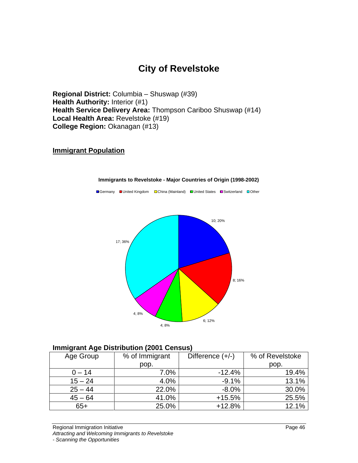## **City of Revelstoke**

**Regional District:** Columbia – Shuswap (#39) **Health Authority: Interior (#1) Health Service Delivery Area:** Thompson Cariboo Shuswap (#14) **Local Health Area:** Revelstoke (#19) **College Region:** Okanagan (#13)

### **Immigrant Population**



#### **Immigrants to Revelstoke - Major Countries of Origin (1998-2002)**

■Germany ■United Kingdom □China (Mainland) ■United States ■Switzerland □Other

### **Immigrant Age Distribution (2001 Census)**

| Age Group | % of Immigrant                                                                                                           | Difference (+/-)<br>$\sim$ $\sim$ $\sim$ $\sim$ $\sim$ $\sim$                                                               | % of Revelstoke         |
|-----------|--------------------------------------------------------------------------------------------------------------------------|-----------------------------------------------------------------------------------------------------------------------------|-------------------------|
|           | non                                                                                                                      |                                                                                                                             | pop.                    |
| $0 - 14$  | 7.001<br>7.U 70                                                                                                          | 12.4%                                                                                                                       | 19.4%                   |
| $15 - 24$ |                                                                                                                          | 9.1%                                                                                                                        | $13.1\%$                |
| $25 - 44$ | 22.0%                                                                                                                    | U 70                                                                                                                        | na am<br><b>JU.U</b> /0 |
| $45 - 64$ | 41.0%                                                                                                                    | $+15.5%$                                                                                                                    | 25.5%                   |
| 65 L      | 25.0%<br>the contract of the contract of the contract of the contract of the contract of the contract of the contract of | $+12.8%$<br>the contract of the contract of the contract of the contract of the contract of the contract of the contract of | $12.1\%$                |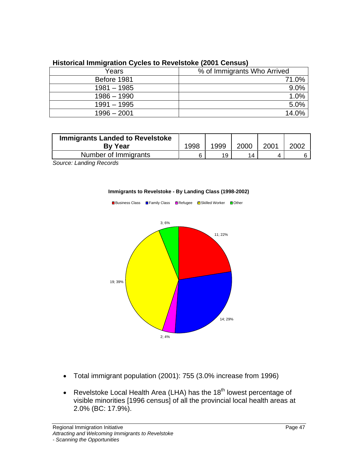|               | % of Immigrants Who Arrived |
|---------------|-----------------------------|
| Before 198    |                             |
| $1981 - 1985$ |                             |
| 1986 - 1990   |                             |
| 1991 – 1995   |                             |
| $1996 - 2001$ |                             |
|               |                             |

### **Historical Immigration Cycles to Revelstoke (2001 Census)**

| Immigrants Landed to Revelstoke            |      |                             |         |                     |      |
|--------------------------------------------|------|-----------------------------|---------|---------------------|------|
| By Year                                    | 1008 | $\sqrt{2}$<br>uuc<br>$\sim$ | - ZUUN. | $\sim$ $\sim$<br>∸∽ | 2002 |
| $\blacksquare$<br>as af Isanai<br>iiurariu |      |                             |         |                     |      |

Source: Landing Records **Example 2018** Source: Landing Records **Control** 





- Total immigrant population (2001): 755 (3.0% increase from 1996)
- Revelstoke Local Health Area (LHA) has the  $18<sup>th</sup>$  lowest percentage of visible minorities [1996 census] of all the provincial local health areas at 2.0% (BC: 17.9%).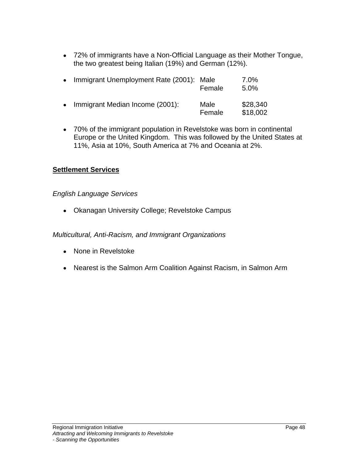72% of immigrants have a Non-Official Language as their Mother Tongue, the two greatest being Italian (19%) and German (12%).

70% of the immigrant population in Revelstoke was born in continental Europe or the United Kingdom. This was followed by the United States at 11%, Asia at 10%, South America at 7% and Oceania at 2%.

### **Settlement Services**

### English Language Services

Okanagan University College; Revelstoke Campus

Multicultural, Anti-Racism, and Immigrant Organizations

- None in Revelstoke
- Nearest is the Salmon Arm Coalition Against Racism, in Salmon Arm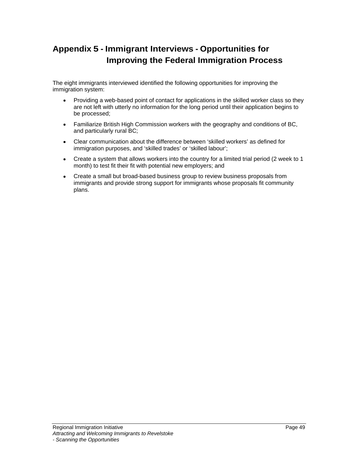## **Appendix 5 - Immigrant Interviews - Opportunities for Improving the Federal Immigration Process**

The eight immigrants interviewed identified the following opportunities for improving the immigration system:

- Providing a web-based point of contact for applications in the skilled worker class so they are not left with utterly no information for the long period until their application begins to be processed;
- Familiarize British High Commission workers with the geography and conditions of BC, and particularly rural BC;
- Clear communication about the difference between 'skilled workers' as defined for  $\bullet$ immigration purposes, and 'skilled trades' or 'skilled labour';
- Create a system that allows workers into the country for a limited trial period (2 week to 1 month) to test fit their fit with potential new employers; and
- Create a small but broad-based business group to review business proposals from immigrants and provide strong support for immigrants whose proposals fit community plans.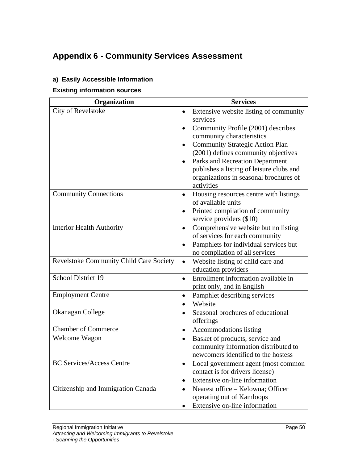## **Appendix 6 - Community Services Assessment**

### **a) Easily Accessible Information**

**Existing information sources**

| Organization                            | <b>Services</b>                                                                    |
|-----------------------------------------|------------------------------------------------------------------------------------|
| City of Revelstoke                      | • Extensive website listing of community                                           |
|                                         | services                                                                           |
|                                         | • Community Profile $(2001)$ describes                                             |
|                                         | community characteristics                                                          |
|                                         | • Community Strategic Action Plan                                                  |
|                                         | (2001) defines community objectives                                                |
|                                         | • Parks and Recreation Department                                                  |
|                                         | publishes a listing of leisure clubs and<br>organizations in seasonal brochures of |
|                                         | activities                                                                         |
| <b>Community Connections</b>            | • Housing resources centre with listings                                           |
|                                         | of available units                                                                 |
|                                         | • Printed compilation of community                                                 |
|                                         | service providers $(\$10)$                                                         |
| <b>Interior Health Authority</b>        | • Comprehensive website but no listing                                             |
|                                         | of services for each community                                                     |
|                                         | • Pamphlets for individual services but                                            |
|                                         | no compilation of all services                                                     |
| Revelstoke Community Child Care Society | Website listing of child care and                                                  |
|                                         | education providers                                                                |
| School District 19                      | • Enrollment information available in                                              |
|                                         | print only, and in English                                                         |
| <b>Employment Centre</b>                | • Pamphlet describing services                                                     |
|                                         | • Website                                                                          |
| Okanagan College                        | • Seasonal brochures of educational                                                |
| <b>Chamber of Commerce</b>              | offerings<br>• Accommodations listing                                              |
| Welcome Wagon                           |                                                                                    |
|                                         | • Basket of products, service and<br>community information distributed to          |
|                                         | newcomers identified to the hostess                                                |
| <b>BC Services/Access Centre</b>        | • Local government agent (most common                                              |
|                                         | contact is for drivers license)                                                    |
|                                         | • Extensive on-line information                                                    |
| Citizenship and Immigration Canada      | • Nearest office $-$ Kelowna; Officer                                              |
|                                         | operating out of Kamloops                                                          |
|                                         | • Extensive on-line information                                                    |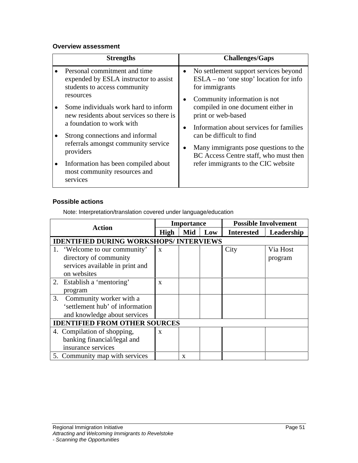### **Overview assessment**

| <b>Strengths</b>                                                                 | <b>Challenges/Gaps</b>                                                            |
|----------------------------------------------------------------------------------|-----------------------------------------------------------------------------------|
| Personal commitment and time<br>expended by ESLA instructor to assist            | No settlement support services beyond<br>$ESLA - no'$ one stop' location for info |
| students to access community<br>resources                                        | for immigrants<br>Community information is not                                    |
| Some individuals work hard to inform<br>new residents about services so there is | compiled in one document either in<br>print or web-based                          |
| a foundation to work with<br>Strong connections and informal                     | Information about services for families<br>can be difficult to find               |
| referrals amongst community service<br>providers                                 | • Many immigrants pose questions to the<br>BC Access Centre staff, who must then  |
| Information has been compiled about<br>most community resources and              | refer immigrants to the CIC website                                               |
| services                                                                         |                                                                                   |

### **Possible actions**

| <b>Action</b>                                 | <b>Importance</b> | <b>Possible Involvement</b>                |
|-----------------------------------------------|-------------------|--------------------------------------------|
|                                               |                   | High   Mid   Low   Interested   Leadership |
| <b>IDENTIFIED DURING WORKSHOPS/INTERVIEWS</b> |                   |                                            |
| 'Welcome to our community'                    |                   | Via Host<br>City                           |
| directory of community                        |                   | program                                    |
| services available in print and               |                   |                                            |
| on websites                                   |                   |                                            |
| Establish a 'mentoring'                       |                   |                                            |
| program                                       |                   |                                            |
| Community worker with a                       |                   |                                            |
| 'settlement hub' of information               |                   |                                            |
| and knowledge about services                  |                   |                                            |
| <b>IDENTIFIED FROM OTHER SOURCES</b>          |                   |                                            |
| 4. Compilation of shopping,                   |                   |                                            |
| banking financial/legal and                   |                   |                                            |
| insurance services                            |                   |                                            |
| 5. Community map with services                |                   |                                            |

Note: Interpretation/translation covered under language/education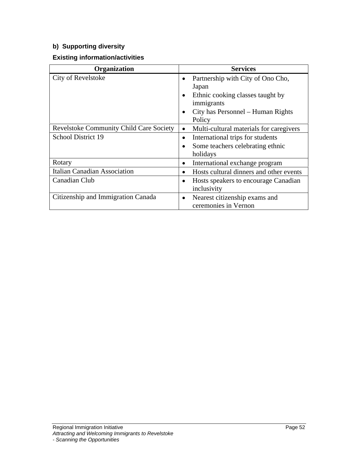## **b) Supporting diversity**

### **Existing information/activities**

| Organization                            | <b>Services</b>                                   |
|-----------------------------------------|---------------------------------------------------|
| City of Revelstoke                      | • Partnership with City of Ono Cho,               |
|                                         | Japan                                             |
|                                         | Ethnic cooking classes taught by                  |
|                                         | immigrants                                        |
|                                         | $\bullet$ City has Personnel – Human Rights       |
|                                         |                                                   |
| Revelstoke Community Child Care Society | Multi-cultural materials for caregivers           |
| School District 19                      | • International trips for students                |
|                                         | • Some teachers celebrating ethnic                |
|                                         | holidays                                          |
| Rotary                                  | $\bullet$ International exchange program          |
| Italian Canadian Association            | $\bullet$ Hosts cultural dinners and other events |
| Canadian Club                           | • Hosts speakers to encourage Canadian            |
|                                         | inclusivity                                       |
| Citizenship and Immigration Canada      | $\bullet$ Nearest citizenship exams and           |
|                                         | ceremonies in Vernon                              |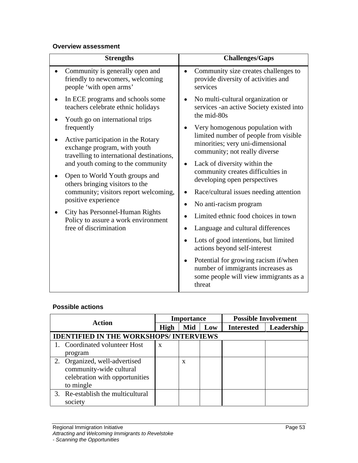### **Overview assessment**

### **Possible actions**

|                                                | Importance | <b>Possible Involvement</b>                |
|------------------------------------------------|------------|--------------------------------------------|
| <b>Action</b>                                  |            | High   Mid   Low   Interested   Leadership |
| <b>IDENTIFIED IN THE WORKSHOPS/ INTERVIEWS</b> |            |                                            |
| 1. Coordinated volunteer Host                  |            |                                            |
| program                                        |            |                                            |
| 2. Organized, well-advertised                  |            |                                            |
| community-wide cultural                        |            |                                            |
| celebration with opportunities                 |            |                                            |
| to mingle                                      |            |                                            |
| Re-establish the multicultural                 |            |                                            |
| society                                        |            |                                            |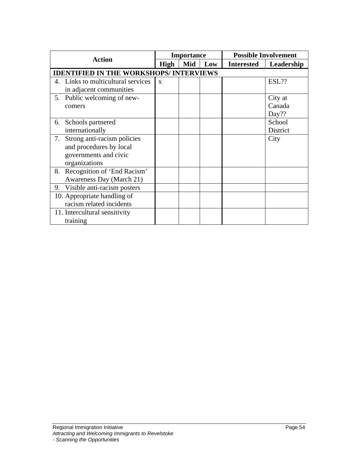| <b>Action</b>                                                                     | Importance       | <b>Possible Involvement</b> |                         |
|-----------------------------------------------------------------------------------|------------------|-----------------------------|-------------------------|
|                                                                                   | High   Mid   Low |                             | Interested   Leadership |
| <b>IDENTIFIED IN THE WORKSHOPS/ INTERVIEWS</b>                                    |                  |                             |                         |
| 4. Links to multicultural services $\mathbf{x}$<br>in adjacent communities        |                  |                             | ESL??                   |
| 5. Public welcoming of new-                                                       |                  |                             | City at                 |
| comers                                                                            |                  |                             | Canada<br>Day??         |
| Schools partnered<br>internationally                                              |                  |                             | School<br>District      |
| . Strong anti-racism policies<br>and procedures by local<br>governments and civic |                  |                             | City                    |
| organizations                                                                     |                  |                             |                         |
| Recognition of 'End Racism'<br><b>Awareness Day (March 21)</b>                    |                  |                             |                         |
| 9. Visible anti-racism posters                                                    |                  |                             |                         |
| 10. Appropriate handling of                                                       |                  |                             |                         |
| racism related incidents                                                          |                  |                             |                         |
| 11. Intercultural sensitivity<br>training                                         |                  |                             |                         |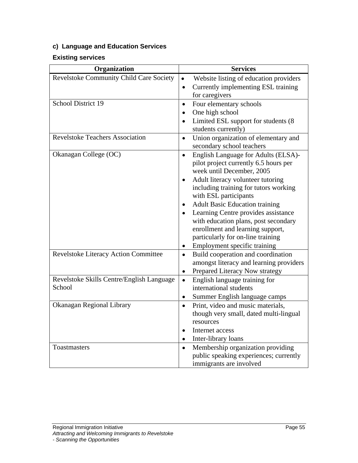## **c) Language and Education Services**

### **Existing services**

| Organization                                        | <b>Services</b>                                                                                                     |
|-----------------------------------------------------|---------------------------------------------------------------------------------------------------------------------|
| Revelstoke Community Child Care Society             | Website listing of education providers<br>• Currently implementing ESL training                                     |
|                                                     | for caregivers                                                                                                      |
| School District 19                                  | • Four elementary schools<br>$\bullet$ One high school<br>• Limited ESL support for students (8                     |
|                                                     | students currently)                                                                                                 |
| <b>Revelstoke Teachers Association</b>              | • Union organization of elementary and<br>secondary school teachers                                                 |
| Okanagan College (OC)                               | • English Language for Adults (ELSA)-<br>pilot project currently 6.5 hours per<br>week until December, 2005         |
|                                                     | • Adult literacy volunteer tutoring<br>including training for tutors working<br>with ESL participants               |
|                                                     | • Adult Basic Education training<br>• Learning Centre provides assistance<br>with education plans, post secondary   |
|                                                     | enrollment and learning support,<br>particularly for on-line training<br>• Employment specific training             |
| <b>Revelstoke Literacy Action Committee</b>         | • Build cooperation and coordination<br>amongst literacy and learning providers<br>• Prepared Literacy Now strategy |
| Revelstoke Skills Centre/English Language<br>School | English language training for<br>international students<br>• Summer English language camps                          |
| Okanagan Regional Library                           | • Print, video and music materials,<br>though very small, dated multi-lingual<br>resources                          |
|                                                     | • Internet access<br>• Inter-library loans                                                                          |
| Toastmasters                                        | • Membership organization providing<br>public speaking experiences; currently                                       |
|                                                     | immigrants are involved                                                                                             |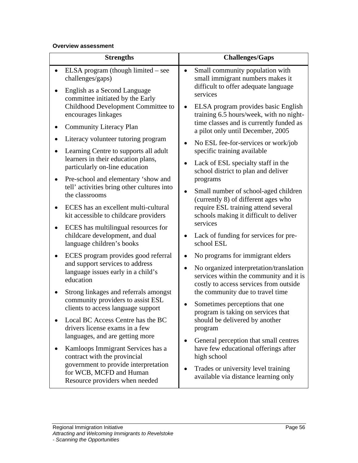### **Overview assessment**

| <b>Strengths</b>                                                                   | <b>Challenges/Gaps</b>                                                               |
|------------------------------------------------------------------------------------|--------------------------------------------------------------------------------------|
| $\bullet$ ELSA program (though limited – see                                       | Small community population with                                                      |
| challenges/gaps)                                                                   | small immigrant numbers makes it                                                     |
| • English as a Second Language<br>committee initiated by the Early                 | difficult to offer adequate language<br>services                                     |
| Childhood Development Committee to                                                 | ELSA program provides basic English                                                  |
| encourages linkages                                                                | training 6.5 hours/week, with no night-                                              |
| • Community Literacy Plan                                                          | time classes and is currently funded as<br>a pilot only until December, 2005         |
| • Literacy volunteer tutoring program                                              | • No ESL fee-for-services or work/job                                                |
| • Learning Centre to supports all adult                                            | specific training available                                                          |
| learners in their education plans,<br>particularly on-line education               | • Lack of ESL specialty staff in the<br>school district to plan and deliver          |
| • Pre-school and elementary 'show and                                              | programs                                                                             |
| tell' activities bring other cultures into<br>the classrooms                       | • Small number of school-aged children<br>(currently 8) of different ages who        |
| • ECES has an excellent multi-cultural<br>kit accessible to childcare providers    | require ESL training attend several<br>schools making it difficult to deliver        |
| • ECES has multilingual resources for                                              | services                                                                             |
| childcare development, and dual                                                    | • Lack of funding for services for pre-                                              |
| language children's books                                                          | school ESL                                                                           |
| • ECES program provides good referral                                              | No programs for immigrant elders                                                     |
| and support services to address<br>language issues early in a child's<br>education | • No organized interpretation/translation<br>services within the community and it is |
|                                                                                    | costly to access services from outside                                               |
| • Strong linkages and referrals amongst<br>community providers to assist ESL       | the community due to travel time                                                     |
| clients to access language support                                                 | • Sometimes perceptions that one<br>program is taking on services that               |
| • Local BC Access Centre has the BC                                                | should be delivered by another                                                       |
| drivers license exams in a few                                                     | program                                                                              |
| languages, and are getting more                                                    | • General perception that small centres                                              |
| • Kamloops Immigrant Services has a                                                | have few educational offerings after                                                 |
| contract with the provincial                                                       | high school                                                                          |
| government to provide interpretation<br>for WCB, MCFD and Human                    | • Trades or university level training<br>available via distance learning only        |
| Resource providers when needed                                                     |                                                                                      |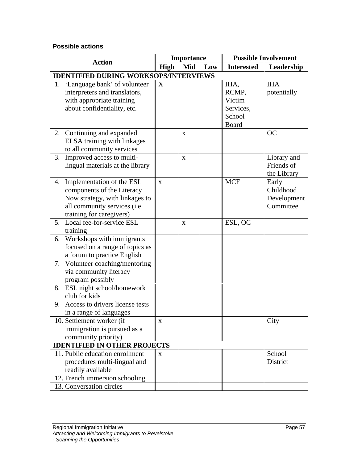### **Possible actions**

|                                              | Importance         |            | <b>Possible Involvement</b> |
|----------------------------------------------|--------------------|------------|-----------------------------|
| <b>Action</b>                                | High   Mid   $Low$ |            | Interested   Leadership     |
| <b>IDENTIFIED DURING WORKSOPS/INTERVIEWS</b> |                    |            |                             |
| . 'Language bank' of volunteer $\boxed{X}$   |                    | IHA,       | <b>IHA</b>                  |
| interpreters and translators,                |                    | RCMP,      | potentially                 |
| with appropriate training                    |                    | Victim     |                             |
| about confidentiality, etc.                  |                    | Services,  |                             |
|                                              |                    | School     |                             |
|                                              |                    | Board      |                             |
| 2. Continuing and expanded                   | $\mathbf{x}$       |            | OC                          |
| ELSA training with linkages                  |                    |            |                             |
| to all community services                    |                    |            |                             |
| 3. Improved access to multi-                 | $\mathbf{x}$       |            | Library and                 |
| lingual materials at the library             |                    |            | Friends of                  |
|                                              |                    |            | the Library                 |
| 4. Implementation of the ESL                 |                    | <b>MCF</b> | Early<br>Childhood          |
| components of the Literacy                   |                    |            |                             |
| Now strategy, with linkages to               |                    |            | Development                 |
| all community services (i.e.                 |                    |            | Committee                   |
| training for caregivers)                     |                    |            |                             |
| 5. Local fee-for-service ESL                 | $\mathbf{x}$       | ESL, OC    |                             |
| training                                     |                    |            |                             |
| 6. Workshops with immigrants                 |                    |            |                             |
| focused on a range of topics as              |                    |            |                             |
| a forum to practice English                  |                    |            |                             |
| Volunteer coaching/mentoring                 |                    |            |                             |
| via community literacy                       |                    |            |                             |
| program possibly                             |                    |            |                             |
| 8. ESL night school/homework                 |                    |            |                             |
| club for kids                                |                    |            |                             |
| 9. Access to drivers license tests           |                    |            |                             |
| in a range of languages                      |                    |            |                             |
| 10. Settlement worker (if                    | $\mathbf{X}$       |            | City                        |
| immigration is pursued as a                  |                    |            |                             |
| community priority)                          |                    |            |                             |
| <b>IDENTIFIED IN OTHER PROJECTS</b>          |                    |            |                             |
| 11. Public education enrollment              |                    |            | School                      |
| procedures multi-lingual and                 |                    |            | District                    |
| readily available                            |                    |            |                             |
| 12. French immersion schooling               |                    |            |                             |
| 13. Conversation circles                     |                    |            |                             |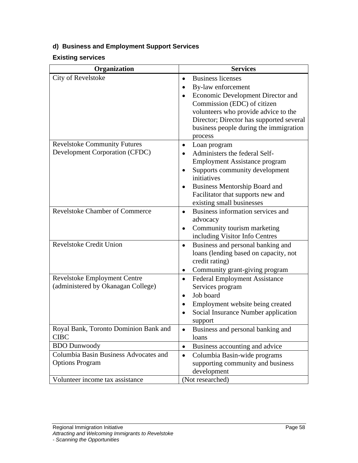## **d) Business and Employment Support Services**

### **Existing services**

| Organization                                  | <b>Services</b>                          |
|-----------------------------------------------|------------------------------------------|
| City of Revelstoke                            | <b>Business licenses</b>                 |
|                                               | • By-law enforcement                     |
|                                               | Economic Development Director and        |
|                                               | Commission (EDC) of citizen              |
|                                               | volunteers who provide advice to the     |
|                                               | Director; Director has supported several |
|                                               | business people during the immigration   |
|                                               | process                                  |
| <b>Revelstoke Community Futures</b>           | $\bullet$ Loan program                   |
| Development Corporation (CFDC)                | • Administers the federal Self-          |
|                                               | <b>Employment Assistance program</b>     |
|                                               | Supports community development           |
|                                               | initiatives                              |
|                                               | <b>Business Mentorship Board and</b>     |
|                                               | Facilitator that supports new and        |
|                                               | existing small businesses                |
| <b>Revelstoke Chamber of Commerce</b>         | • Business information services and      |
|                                               | advocacy                                 |
|                                               | • Community tourism marketing            |
|                                               | including Visitor Info Centres           |
| <b>Revelstoke Credit Union</b>                | <b>Business and personal banking and</b> |
|                                               | loans (lending based on capacity, not    |
|                                               | credit rating)                           |
|                                               | • Community grant-giving program         |
| Revelstoke Employment Centre                  | • Federal Employment Assistance          |
| (administered by Okanagan College)            | Services program                         |
|                                               | • Job board                              |
|                                               | <b>Employment website being created</b>  |
|                                               | • Social Insurance Number application    |
|                                               | support                                  |
| Royal Bank, Toronto Dominion Bank and<br>CIBC | • Business and personal banking and      |
|                                               | loans                                    |
| <b>BDO</b> Dunwoody                           | • Business accounting and advice         |
| Columbia Basin Business Advocates and         | Columbia Basin-wide programs             |
| Options Program                               | supporting community and business        |
|                                               | development                              |
| Volunteer income tax assistance               | (Not researched)                         |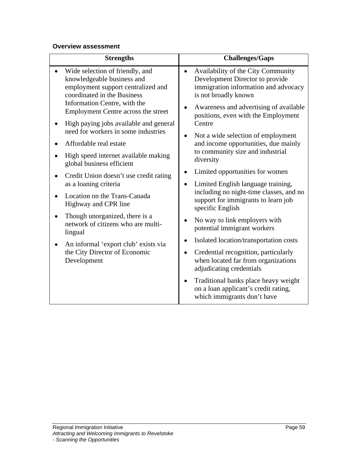### **Overview assessment**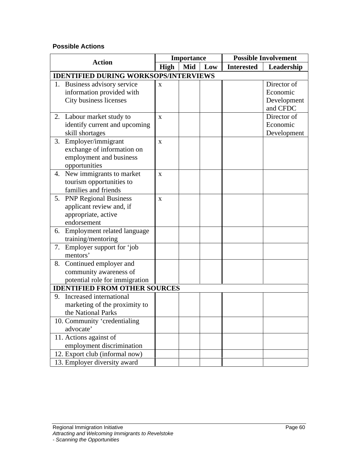### **Possible Actions**

|                                              | <b>Importance</b> | <b>Possible Involvement</b> |
|----------------------------------------------|-------------------|-----------------------------|
| <b>Action</b>                                | High   Mid   Low  | Interested   Leadership     |
| <b>IDENTIFIED DURING WORKSOPS/INTERVIEWS</b> |                   |                             |
| Business advisory service                    |                   | Director of                 |
| information provided with                    |                   | Economic                    |
| City business licenses                       |                   | Development                 |
|                                              |                   | and CFDC                    |
| 2. Labour market study to                    |                   | Director of                 |
| identify current and upcoming                |                   | Economic                    |
| skill shortages                              |                   | Development                 |
| 3. Employer/immigrant                        |                   |                             |
| exchange of information on                   |                   |                             |
| employment and business                      |                   |                             |
| opportunities                                |                   |                             |
| 4. New immigrants to market                  |                   |                             |
| tourism opportunities to                     |                   |                             |
| families and friends                         |                   |                             |
| 5. PNP Regional Business                     |                   |                             |
| applicant review and, if                     |                   |                             |
| appropriate, active                          |                   |                             |
| endorsement                                  |                   |                             |
| 6. Employment related language               |                   |                             |
| training/mentoring                           |                   |                             |
| 7. Employer support for four                 |                   |                             |
| mentors'                                     |                   |                             |
| 8. Continued employer and                    |                   |                             |
| community awareness of                       |                   |                             |
| potential role for immigration               |                   |                             |
| <b>IDENTIFIED FROM OTHER SOURCES</b>         |                   |                             |
| 9. Increased international                   |                   |                             |
| marketing of the proximity to                |                   |                             |
| the National Parks                           |                   |                             |
| 10. Community 'credentialing                 |                   |                             |
| advocate'                                    |                   |                             |
| 11. Actions against of                       |                   |                             |
| employment discrimination                    |                   |                             |
| 12. Export club (informal now)               |                   |                             |
| 13. Employer diversity award                 |                   |                             |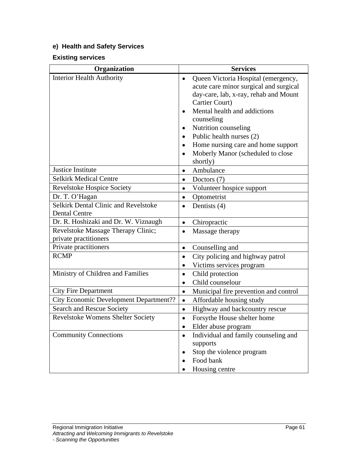## **e) Health and Safety Services**

### **Existing services**

| Organization                           | <b>Services</b>                         |
|----------------------------------------|-----------------------------------------|
| <b>Interior Health Authority</b>       | • Queen Victoria Hospital (emergency,   |
|                                        | acute care minor surgical and surgical  |
|                                        | day-care, lab, x-ray, rehab and Mount   |
|                                        | <b>Cartier Court</b> )                  |
|                                        | • Mental health and addictions          |
|                                        | counseling                              |
|                                        | • Nutrition counseling                  |
|                                        | • Public health nurses $(2)$            |
|                                        | • Home nursing care and home support    |
|                                        | • Moberly Manor (scheduled to close     |
|                                        | shortly)                                |
| Justice Institute                      | • Ambulance                             |
| <b>Selkirk Medical Centre</b>          | • Doctors $(7)$                         |
| Revelstoke Hospice Society             | • Volunteer hospice support             |
| Dr. T. O'Hagan                         | • Optometrist                           |
| Selkirk Dental Clinic and Revelstoke   | • Dentists $(4)$                        |
| Dental Centre                          |                                         |
| Dr. R. Hoshizaki and Dr. W. Viznaugh   | • Chiropractic                          |
| Revelstoke Massage Therapy Clinic;     | • Massage therapy                       |
| private practitioners                  |                                         |
| Private practitioners                  | • Counselling and                       |
| <b>RCMP</b>                            | • City policing and highway patrol      |
|                                        | • Victims services program              |
| Ministry of Children and Families      | • Child protection                      |
|                                        | • Child counselour                      |
| City Fire Department                   | • Municipal fire prevention and control |
| City Economic Development Department?? | • Affordable housing study              |
| Search and Rescue Society              | • Highway and backcountry rescue        |
| Revelstoke Womens Shelter Society      | • Forsythe House shelter home           |
|                                        | Ⅰ • Elder abuse program                 |
| <b>Community Connections</b>           | • Individual and family counseling and  |
|                                        | supports                                |
|                                        | • Stop the violence program             |
|                                        | $\bullet$ Food bank                     |
|                                        | • Housing centre                        |
|                                        |                                         |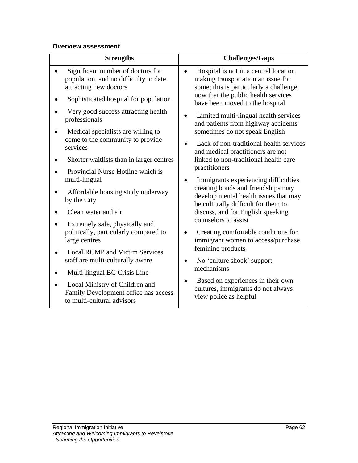### **Overview assessment**

| <b>Strengths</b>                                                                                     | <b>Challenges/Gaps</b>                                                                                                 |
|------------------------------------------------------------------------------------------------------|------------------------------------------------------------------------------------------------------------------------|
| Significant number of doctors for<br>population, and no difficulty to date<br>attracting new doctors | Hospital is not in a central location,<br>making transportation an issue for<br>some; this is particularly a challenge |
| Sophisticated hospital for population                                                                | now that the public health services<br>have been moved to the hospital                                                 |
| Very good success attracting health<br>professionals                                                 | • Limited multi-lingual health services<br>and patients from highway accidents                                         |
| Medical specialists are willing to<br>come to the community to provide                               | sometimes do not speak English                                                                                         |
| services                                                                                             | • Lack of non-traditional health services<br>and medical practitioners are not                                         |
| Shorter waitlists than in larger centres                                                             | linked to non-traditional health care                                                                                  |
| Provincial Nurse Hotline which is<br>multi-lingual                                                   | practitioners<br>• Immigrants experiencing difficulties                                                                |
| Affordable housing study underway<br>by the City                                                     | creating bonds and friendships may<br>develop mental health issues that may<br>be culturally difficult for them to     |
| Clean water and air                                                                                  | discuss, and for English speaking                                                                                      |
| Extremely safe, physically and<br>politically, particularly compared to<br>large centres             | counselors to assist<br>• Creating comfortable conditions for<br>immigrant women to access/purchase                    |
| <b>Local RCMP and Victim Services</b>                                                                | feminine products                                                                                                      |
| staff are multi-culturally aware                                                                     | • No 'culture shock' support<br>mechanisms                                                                             |
| Multi-lingual BC Crisis Line                                                                         | Based on experiences in their own                                                                                      |
| Local Ministry of Children and<br>Family Development office has access<br>to multi-cultural advisors | cultures, immigrants do not always<br>view police as helpful                                                           |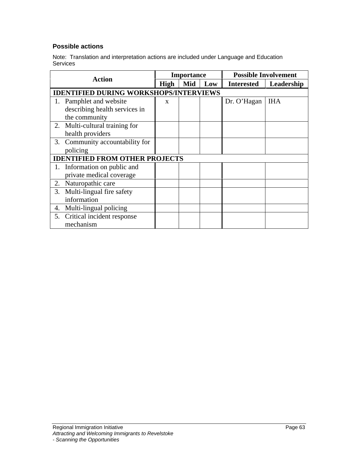### **Possible actions**

Note: Translation and interpretation actions are included under Language and Education **Services and Services** and Services and Services and Services and Services and Services and Services and Services and Services and Services and Services and Services and Services and Services and Services and Services and

| <b>Action</b>                                 | <b>Importance</b>                          |                   | <b>Possible Involvement</b> |
|-----------------------------------------------|--------------------------------------------|-------------------|-----------------------------|
|                                               | High   Mid   Low   Interested   Leadership |                   |                             |
| <b>IDENTIFIED DURING WORKSHOPS/INTERVIEWS</b> |                                            |                   |                             |
| 1. Pamphlet and website                       |                                            | Dr. O'Hagan   IHA |                             |
| describing health services in                 |                                            |                   |                             |
| the community                                 |                                            |                   |                             |
| 2. Multi-cultural training for                |                                            |                   |                             |
| health providers                              |                                            |                   |                             |
| 3. Community accountability for               |                                            |                   |                             |
| policing                                      |                                            |                   |                             |
| <b>IDENTIFIED FROM OTHER PROJECTS</b>         |                                            |                   |                             |
| . Information on public and                   |                                            |                   |                             |
| private medical coverage                      |                                            |                   |                             |
| 2. Naturopathic care                          |                                            |                   |                             |
| 3. Multi-lingual fire safety                  |                                            |                   |                             |
| information                                   |                                            |                   |                             |
| 4. Multi-lingual policing                     |                                            |                   |                             |
| 5. Critical incident response                 |                                            |                   |                             |
| mechanism                                     |                                            |                   |                             |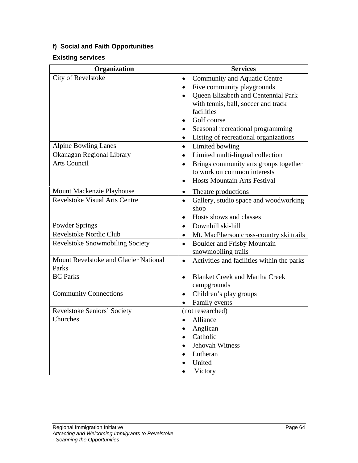### **f) Social and Faith Opportunities**

### **Existing services**

| Organization                          | <b>Services</b>                              |
|---------------------------------------|----------------------------------------------|
| City of Revelstoke                    | • Community and Aquatic Centre               |
|                                       | • Five community playgrounds                 |
|                                       | • Queen Elizabeth and Centennial Park        |
|                                       | with tennis, ball, soccer and track          |
|                                       | facilities                                   |
|                                       | • Golf course                                |
|                                       | • Seasonal recreational programming          |
|                                       | • Listing of recreational organizations      |
| Alpine Bowling Lanes                  | • Limited bowling                            |
| Okanagan Regional Library             | • Limited multi-lingual collection           |
| Arts Council                          | • Brings community arts groups together      |
|                                       | to work on common interests                  |
|                                       | • Hosts Mountain Arts Festival               |
| Mount Mackenzie Playhouse             | • Theatre productions                        |
| <b>Revelstoke Visual Arts Centre</b>  | • Gallery, studio space and woodworking      |
|                                       | shop                                         |
|                                       | Hosts shows and classes                      |
| Powder Springs                        | • Downhill ski-hill                          |
| Revelstoke Nordic Club                | • Mt. MacPherson cross-country ski trails    |
| Revelstoke Snowmobiling Society       | • Boulder and Frisby Mountain                |
|                                       | snowmobiling trails                          |
| Mount Revelstoke and Glacier National | • Activities and facilities within the parks |
| Parks                                 |                                              |
| <b>BC</b> Parks                       | • Blanket Creek and Martha Creek             |
|                                       | campgrounds                                  |
| <b>Community Connections</b>          | • Children's play groups                     |
|                                       | • Family events                              |
| Revelstoke Seniors' Society           | (not researched)                             |
| Churches                              | • Alliance                                   |
|                                       | • Anglican                                   |
|                                       | • Catholic                                   |
|                                       | • Jehovah Witness                            |
|                                       | • Lutheran                                   |
|                                       | • United                                     |
|                                       | • Victory                                    |